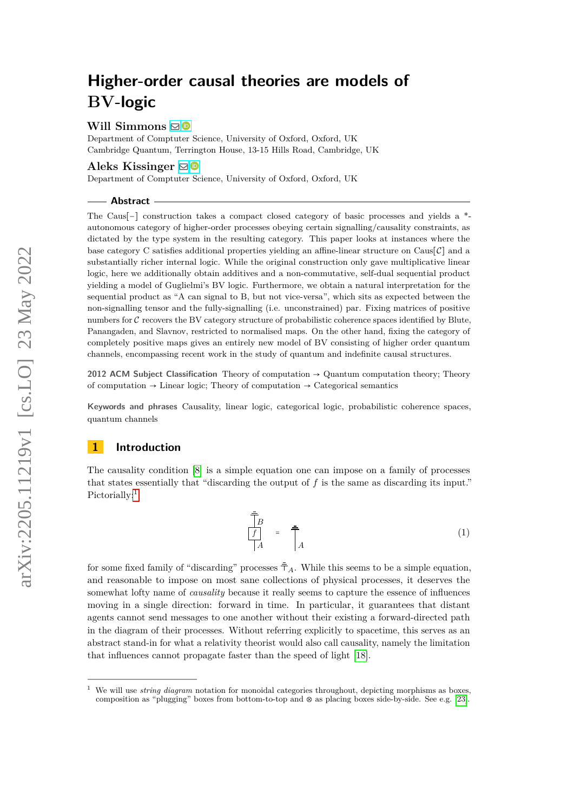## **Will Simmons** ⊠<sup>®</sup>

Department of Comptuter Science, University of Oxford, Oxford, UK Cambridge Quantum, Terrington House, 13-15 Hills Road, Cambridge, UK

#### **Aleks Kissinger** [!](mailto:aleks.kissinger@cs.ox.ac.uk)

Department of Comptuter Science, University of Oxford, Oxford, UK

#### **Abstract**

The Caus[−] construction takes a compact closed category of basic processes and yields a \* autonomous category of higher-order processes obeying certain signalling/causality constraints, as dictated by the type system in the resulting category. This paper looks at instances where the base category C satisfies additional properties yielding an affine-linear structure on Caus[ $\mathcal{C}$ ] and a substantially richer internal logic. While the original construction only gave multiplicative linear logic, here we additionally obtain additives and a non-commutative, self-dual sequential product yielding a model of Guglielmi's BV logic. Furthermore, we obtain a natural interpretation for the sequential product as "A can signal to B, but not vice-versa", which sits as expected between the non-signalling tensor and the fully-signalling (i.e. unconstrained) par. Fixing matrices of positive numbers for  $C$  recovers the BV category structure of probabilistic coherence spaces identified by Blute, Panangaden, and Slavnov, restricted to normalised maps. On the other hand, fixing the category of completely positive maps gives an entirely new model of BV consisting of higher order quantum channels, encompassing recent work in the study of quantum and indefinite causal structures.

**2012 ACM Subject Classification** Theory of computation → Quantum computation theory; Theory of computation  $\rightarrow$  Linear logic; Theory of computation  $\rightarrow$  Categorical semantics

**Keywords and phrases** Causality, linear logic, categorical logic, probabilistic coherence spaces, quantum channels

## **1 Introduction**

<span id="page-0-1"></span>The causality condition [\[8\]](#page-12-0) is a simple equation one can impose on a family of processes that states essentially that "discarding the output of *f* is the same as discarding its input." Pictorially:<sup>[1](#page-0-0)</sup>

$$
\frac{\frac{1}{\Box}B}{\Big|A} = \frac{\frac{1}{\Box}}{A}
$$
 (1)

for some fixed family of "discarding" processes  $\bar{\bar{\tau}}_A$ . While this seems to be a simple equation, and reasonable to impose on most sane collections of physical processes, it deserves the somewhat lofty name of *causality* because it really seems to capture the essence of influences moving in a single direction: forward in time. In particular, it guarantees that distant agents cannot send messages to one another without their existing a forward-directed path in the diagram of their processes. Without referring explicitly to spacetime, this serves as an abstract stand-in for what a relativity theorist would also call causality, namely the limitation that influences cannot propagate faster than the speed of light [\[18\]](#page-13-0).

<span id="page-0-0"></span><sup>1</sup> We will use *string diagram* notation for monoidal categories throughout, depicting morphisms as boxes, composition as "plugging" boxes from bottom-to-top and ⊗ as placing boxes side-by-side. See e.g. [\[23\]](#page-13-1).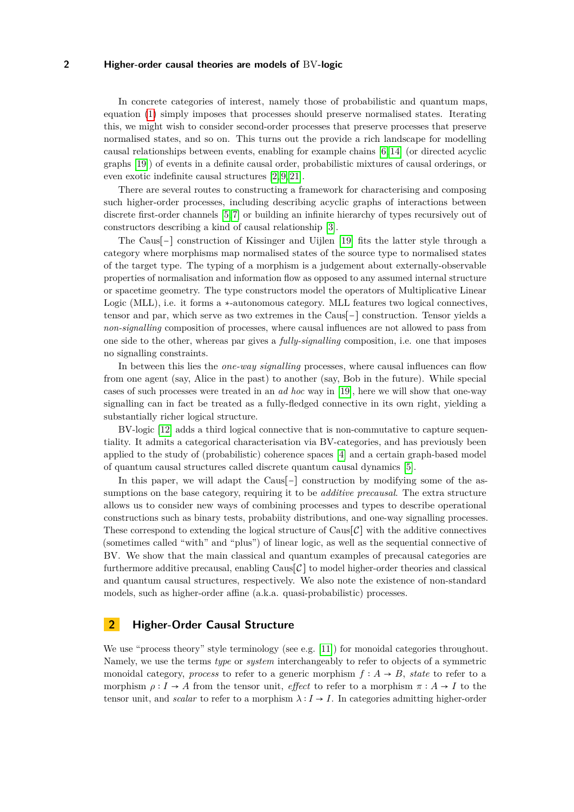In concrete categories of interest, namely those of probabilistic and quantum maps, equation [\(1\)](#page-0-1) simply imposes that processes should preserve normalised states. Iterating this, we might wish to consider second-order processes that preserve processes that preserve normalised states, and so on. This turns out the provide a rich landscape for modelling causal relationships between events, enabling for example chains [\[6,](#page-12-1) [14\]](#page-13-2) (or directed acyclic graphs [\[19\]](#page-13-3)) of events in a definite causal order, probabilistic mixtures of causal orderings, or even exotic indefinite causal structures [\[2,](#page-12-2) [9,](#page-13-4) [21\]](#page-13-5).

There are several routes to constructing a framework for characterising and composing such higher-order processes, including describing acyclic graphs of interactions between discrete first-order channels [\[5,](#page-12-3) [7\]](#page-12-4) or building an infinite hierarchy of types recursively out of constructors describing a kind of causal relationship [\[3\]](#page-12-5).

The Caus[−] construction of Kissinger and Uijlen [\[19\]](#page-13-3) fits the latter style through a category where morphisms map normalised states of the source type to normalised states of the target type. The typing of a morphism is a judgement about externally-observable properties of normalisation and information flow as opposed to any assumed internal structure or spacetime geometry. The type constructors model the operators of Multiplicative Linear Logic (MLL), i.e. it forms a ∗-autonomous category. MLL features two logical connectives, tensor and par, which serve as two extremes in the Caus[−] construction. Tensor yields a *non-signalling* composition of processes, where causal influences are not allowed to pass from one side to the other, whereas par gives a *fully-signalling* composition, i.e. one that imposes no signalling constraints.

In between this lies the *one-way signalling* processes, where causal influences can flow from one agent (say, Alice in the past) to another (say, Bob in the future). While special cases of such processes were treated in an *ad hoc* way in [\[19\]](#page-13-3), here we will show that one-way signalling can in fact be treated as a fully-fledged connective in its own right, yielding a substantially richer logical structure.

BV-logic [\[12\]](#page-13-6) adds a third logical connective that is non-commutative to capture sequentiality. It admits a categorical characterisation via BV-categories, and has previously been applied to the study of (probabilistic) coherence spaces [\[4\]](#page-12-6) and a certain graph-based model of quantum causal structures called discrete quantum causal dynamics [\[5\]](#page-12-3).

In this paper, we will adapt the Caus[−] construction by modifying some of the assumptions on the base category, requiring it to be *additive precausal*. The extra structure allows us to consider new ways of combining processes and types to describe operational constructions such as binary tests, probabiity distributions, and one-way signalling processes. These correspond to extending the logical structure of  $\text{Caus}[\mathcal{C}]$  with the additive connectives (sometimes called "with" and "plus") of linear logic, as well as the sequential connective of BV. We show that the main classical and quantum examples of precausal categories are furthermore additive precausal, enabling  $\text{Caus}[\mathcal{C}]$  to model higher-order theories and classical and quantum causal structures, respectively. We also note the existence of non-standard models, such as higher-order affine (a.k.a. quasi-probabilistic) processes.

## **2 Higher-Order Causal Structure**

We use "process theory" style terminology (see e.g. [\[11\]](#page-13-7)) for monoidal categories throughout. Namely, we use the terms *type* or *system* interchangeably to refer to objects of a symmetric monoidal category, *process* to refer to a generic morphism  $f : A \rightarrow B$ , *state* to refer to a morphism  $\rho: I \to A$  from the tensor unit, *effect* to refer to a morphism  $\pi: A \to I$  to the tensor unit, and *scalar* to refer to a morphism  $\lambda : I \to I$ . In categories admitting higher-order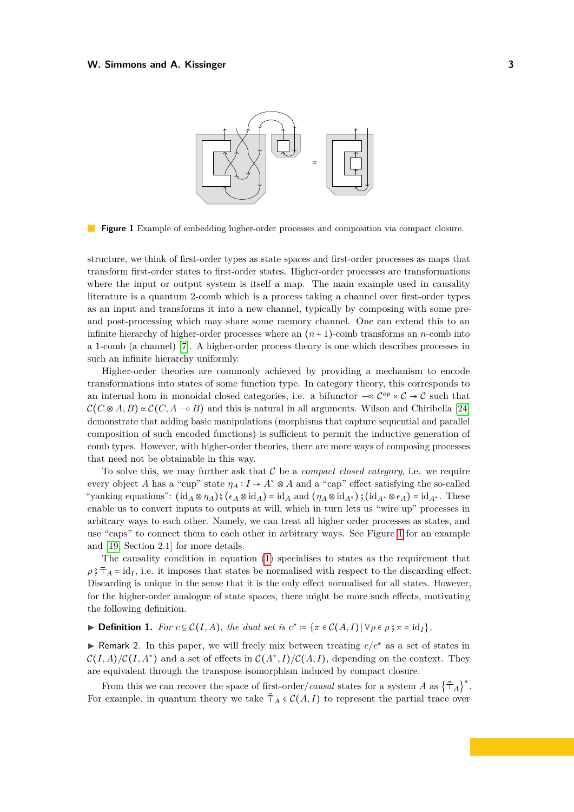<span id="page-2-0"></span>

**Figure 1** Example of embedding higher-order processes and composition via compact closure.

structure, we think of first-order types as state spaces and first-order processes as maps that transform first-order states to first-order states. Higher-order processes are transformations where the input or output system is itself a map. The main example used in causality literature is a quantum 2-comb which is a process taking a channel over first-order types as an input and transforms it into a new channel, typically by composing with some preand post-processing which may share some memory channel. One can extend this to an infinite hierarchy of higher-order processes where an  $(n + 1)$ -comb transforms an *n*-comb into a 1-comb (a channel) [\[7\]](#page-12-4). A higher-order process theory is one which describes processes in such an infinite hierarchy uniformly.

Higher-order theories are commonly achieved by providing a mechanism to encode transformations into states of some function type. In category theory, this corresponds to an internal hom in monoidal closed categories, i.e. a bifunctor  $\multimap : C^{op} \times C \to C$  such that  $\mathcal{C}(C \otimes A, B) \simeq \mathcal{C}(C, A \multimap B)$  and this is natural in all arguments. Wilson and Chiribella [\[24\]](#page-13-8) demonstrate that adding basic manipulations (morphisms that capture sequential and parallel composition of such encoded functions) is sufficient to permit the inductive generation of comb types. However, with higher-order theories, there are more ways of composing processes that need not be obtainable in this way.

To solve this, we may further ask that  $C$  be a *compact closed category*, i.e. we require every object *A* has a "cup" state  $\eta_A: I \to A^* \otimes A$  and a "cap" effect satisfying the so-called "yanking equations":  $(id_A \otimes \eta_A) \circ (e_A \otimes id_A) = id_A$  and  $(\eta_A \otimes id_{A^*}) \circ (id_{A^*} \otimes e_A) = id_{A^*}$ . These enable us to convert inputs to outputs at will, which in turn lets us "wire up" processes in arbitrary ways to each other. Namely, we can treat all higher order processes as states, and use "caps" to connect them to each other in arbitrary ways. See Figure [1](#page-2-0) for an example and [\[19,](#page-13-3) Section 2.1] for more details.

The causality condition in equation [\(1\)](#page-0-1) specialises to states as the requirement that  $\rho \hat{\sigma}$   $\bar{\tau}_A = id_I$ , i.e. it imposes that states be normalised with respect to the discarding effect. Discarding is unique in the sense that it is the only effect normalised for all states. However, for the higher-order analogue of state spaces, there might be more such effects, motivating the following definition.

► **Definition 1.** *For*  $c \text{ } \text{\ensuremath{\in}} \mathcal{C}(I, A)$ *, the dual set is*  $c^* := \{ \pi \in \mathcal{C}(A, I) \mid \forall \rho \in \rho \, \} \, \pi = \text{id}_I \}.$ 

► Remark 2. In this paper, we will freely mix between treating  $c/c^*$  as a set of states in  $\mathcal{C}(I,A)/\mathcal{C}(I,A^*)$  and a set of effects in  $\mathcal{C}(A^*,I)/\mathcal{C}(A,I)$ , depending on the context. They are equivalent through the transpose isomorphism induced by compact closure.

From this we can recover the space of first-order/*causal* states for a system *A* as  $\{\bar{\pm}_A\}^*$ . For example, in quantum theory we take  $\bar{\bar{A}}_A \in \mathcal{C}(A, I)$  to represent the partial trace over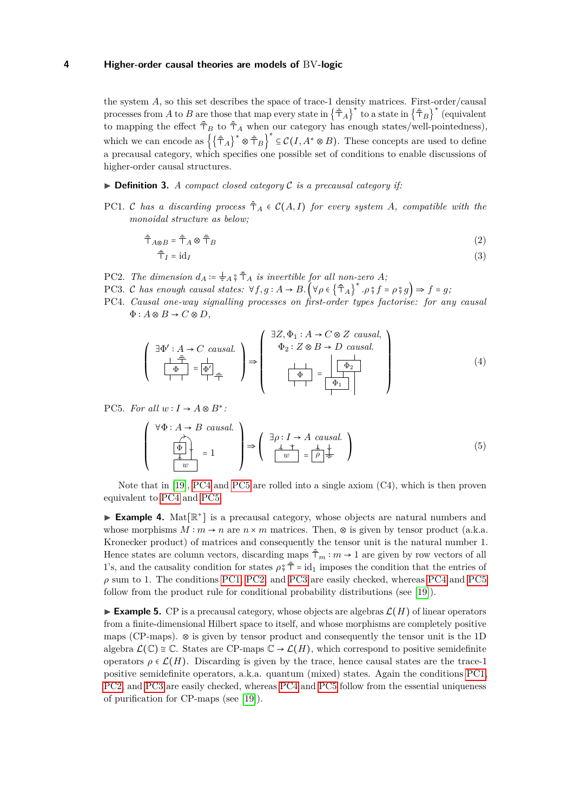the system *A*, so this set describes the space of trace-1 density matrices. First-order/causal processes from *A* to *B* are those that map every state in  $\{\bar{\bar{\tau}}_A\}^*$  to a state in  $\{\bar{\bar{\tau}}_B\}^*$  (equivalent to mapping the effect  $\bar{\bar{\tau}}_B$  to  $\bar{\bar{\tau}}_A$  when our category has enough states/well-pointedness), which we can encode as  $\{ {\{\bar{\top}}_A\}^* \otimes \bar{\top}_B \}^* \subseteq C(I, A^* \otimes B)$ . These concepts are used to define a precausal category, which specifies one possible set of conditions to enable discussions of higher-order causal structures.

#### <span id="page-3-5"></span> $\triangleright$  **Definition 3.** *A compact closed category C is a precausal category if:*

<span id="page-3-2"></span>PC1. C has a discarding process  $\bar{\bar{\tau}}_A \in C(A, I)$  for every system A, compatible with the *monoidal structure as below;*

$$
\bar{\bar{\top}}_{A\otimes B} = \bar{\bar{\top}}_{A} \otimes \bar{\bar{\top}}_{B} \tag{2}
$$

$$
\bar{\top}_I = \mathrm{id}_I \tag{3}
$$

<span id="page-3-3"></span>

<span id="page-3-4"></span><span id="page-3-0"></span>

PC2. The dimension  $d_A := \frac{1}{\pm} A \hat{s} \bar{\top}_A$  is invertible for all non-zero  $A$ ;<br>PC3. C has enough causal states:  $\forall f, g : A \to B$ .  $(\forall \rho \in {\{\bar{\top}_A\}}^* \cdot \rho \hat{s} f = \rho \hat{s} g) \Rightarrow f = g$ ;<br>PC4. Causal one-way signalling processes on first- $\Phi: A \otimes B \rightarrow C \otimes D$ 

$$
\left(\begin{array}{c}\n\exists \Phi': A \to C \text{ causal.} \\
\downarrow \frac{\dagger}{\Phi} \\
\downarrow \frac{\dagger}{\Phi}\n\end{array}\right) \Rightarrow \left(\begin{array}{c}\n\exists Z, \Phi_1: A \to C \otimes Z \text{ causal.} \\
\Phi_2: Z \otimes B \to D \text{ causal.} \\
\downarrow \frac{\dagger}{\Phi} \\
\downarrow \frac{\Phi_2}{\Phi_1}\n\end{array}\right) \tag{4}
$$

<span id="page-3-1"></span>PC5. For all  $w: I \to A \otimes B^*$ :

$$
\begin{pmatrix}\n\forall \Phi : A \to B \text{ causal.} \\
\downarrow \downarrow \downarrow \\
w\n\end{pmatrix} = 1 \qquad \Rightarrow \begin{pmatrix}\n\exists \rho : I \to A \text{ causal.} \\
\downarrow \downarrow \downarrow \\
w\n\end{pmatrix} = \begin{pmatrix}\n\downarrow \downarrow \\
\downarrow \downarrow \downarrow \\
w\n\end{pmatrix} = \begin{pmatrix}\n\downarrow \downarrow \\
\rho\n\end{pmatrix} \stackrel{\downarrow}{=} \qquad (5)
$$

Note that in [\[19\]](#page-13-3), [PC4](#page-3-0) and [PC5](#page-3-1) are rolled into a single axiom (C4), which is then proven equivalent to [PC4](#page-3-0) and [PC5.](#page-3-1)

<span id="page-3-6"></span>► **Example 4.** Mat[ $\mathbb{R}^+$ ] is a precausal category, whose objects are natural numbers and whose morphisms  $M : m \to n$  are  $n \times m$  matrices. Then,  $\otimes$  is given by tensor product (a.k.a. Kronecker product) of matrices and consequently the tensor unit is the natural number 1. Hence states are column vectors, discarding maps  $\bar{\bar{\tau}}_m : m \to 1$  are given by row vectors of all 1's, and the causality condition for states  $\rho \hat{I} = id_1$  imposes the condition that the entries of  $\rho$  sum to 1. The conditions [PC1,](#page-3-2) [PC2,](#page-3-3) and [PC3](#page-3-4) are easily checked, whereas [PC4](#page-3-0) and [PC5](#page-3-1) follow from the product rule for conditional probability distributions (see [\[19\]](#page-13-3)).

<span id="page-3-7"></span>**Example 5.** CP is a precausal category, whose objects are algebras  $\mathcal{L}(H)$  of linear operators from a finite-dimensional Hilbert space to itself, and whose morphisms are completely positive maps (CP-maps). ⊗ is given by tensor product and consequently the tensor unit is the 1D algebra  $\mathcal{L}(\mathbb{C}) \cong \mathbb{C}$ . States are CP-maps  $\mathbb{C} \to \mathcal{L}(H)$ , which correspond to positive semidefinite operators  $ρ ∈ L(H)$ . Discarding is given by the trace, hence causal states are the trace-1 positive semidefinite operators, a.k.a. quantum (mixed) states. Again the conditions [PC1,](#page-3-2) [PC2,](#page-3-3) and [PC3](#page-3-4) are easily checked, whereas [PC4](#page-3-0) and [PC5](#page-3-1) follow from the essential uniqueness of purification for CP-maps (see [\[19\]](#page-13-3)).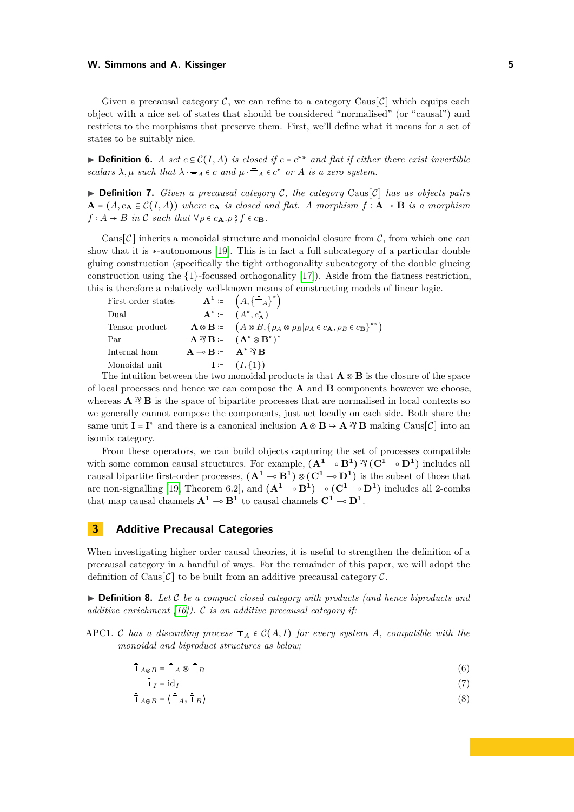Given a precausal category  $\mathcal{C}$ , we can refine to a category Caus[ $\mathcal{C}$ ] which equips each object with a nice set of states that should be considered "normalised" (or "causal") and restricts to the morphisms that preserve them. First, we'll define what it means for a set of states to be suitably nice.

**► Definition 6.** *A set*  $c \subseteq C(I, A)$  *is closed if*  $c = c^{**}$  *and flat if either there exist invertible scalars*  $\lambda, \mu$  *such that*  $\lambda \cdot \frac{1}{\pm A} \in c$  *and*  $\mu \cdot \overline{\overline{\top}}_A \in c^*$  *or A is a zero system.* 

 $\triangleright$  **Definition 7.** *Given a precausal category C*, *the category* Caus[*C*] *has as objects pairs*  $A = (A, c<sub>A</sub> ⊆ C(I, A))$  where  $c<sub>A</sub>$  *is closed and flat. A morphism*  $f : A → B$  *is a morphism*  $f: A \rightarrow B$  *in* C *such that*  $\forall \rho \in c_{\mathbf{A}} \cdot \rho \circ f \in c_{\mathbf{B}}$ *.* 

Caus[ $\mathcal{C}$ ] inherits a monoidal structure and monoidal closure from  $\mathcal{C}$ , from which one can show that it is ∗-autonomous [\[19\]](#page-13-3). This is in fact a full subcategory of a particular double gluing construction (specifically the tight orthogonality subcategory of the double glueing construction using the  $\{1\}$ -focussed orthogonality  $[17]$ ). Aside from the flatness restriction, this is therefore a relatively well-known means of constructing models of linear logic.

| First-order states |                                        | $A^1 := \left(A, \left\{\bar{\top}_A\right\}^*\right).$                                                                                 |
|--------------------|----------------------------------------|-----------------------------------------------------------------------------------------------------------------------------------------|
| Dual               |                                        | ${\bf A}^* := (A^*, c^*_{\bf A})$                                                                                                       |
| Tensor product     |                                        | $\mathbf{A} \otimes \mathbf{B} := (A \otimes B, \{\rho_A \otimes \rho_B   \rho_A \in c_{\mathbf{A}}, \rho_B \in c_{\mathbf{B}}\}^{**})$ |
| Par                |                                        | $A \mathcal{B} B := (A^* \otimes B^*)^*$                                                                                                |
| Internal hom       | $A \rightarrow B := A^* \mathcal{B} B$ |                                                                                                                                         |
| Monoidal unit      |                                        | $I := (I, \{1\})$                                                                                                                       |

The intuition between the two monoidal products is that  $\mathbf{A} \otimes \mathbf{B}$  is the closure of the space of local processes and hence we can compose the **A** and **B** components however we choose, whereas  $\mathbf{A} \mathcal{B} \mathbf{B}$  is the space of bipartite processes that are normalised in local contexts so we generally cannot compose the components, just act locally on each side. Both share the same unit  $I = I^*$  and there is a canonical inclusion  $A \otimes B \hookrightarrow A \otimes B$  making Caus[C] into an isomix category.

From these operators, we can build objects capturing the set of processes compatible with some common causal structures. For example,  $(\mathbf{A}^1 \sim \mathbf{B}^1)$   $\mathcal{R} (\mathbf{C}^1 \sim \mathbf{D}^1)$  includes all causal bipartite first-order processes,  $(A^1 \rightarrow B^1) \otimes (C^1 \rightarrow D^1)$  is the subset of those that are non-signalling [\[19,](#page-13-3) Theorem 6.2], and  $(A^1 \rightarrow B^1) \rightarrow (C^1 \rightarrow D^1)$  includes all 2-combs that map causal channels  $A^1 \rightarrow B^1$  to causal channels  $C^1 \rightarrow D^1$ .

## <span id="page-4-1"></span>**3 Additive Precausal Categories**

When investigating higher order causal theories, it is useful to strengthen the definition of a precausal category in a handful of ways. For the remainder of this paper, we will adapt the definition of Caus[ $\mathcal{C}$ ] to be built from an additive precausal category  $\mathcal{C}$ .

▶ **Definition 8.** Let C be a compact closed category with products (and hence biproducts and *additive enrichment [\[16\]](#page-13-10)).* C *is an additive precausal category if:*

<span id="page-4-0"></span>APC1. C has a discarding process  $\bar{\bar{\tau}}_A \in \mathcal{C}(A, I)$  for every system A, compatible with the *monoidal and biproduct structures as below;*

$$
\bar{\bar{\top}}_{A\otimes B} = \bar{\bar{\top}}_A \otimes \bar{\bar{\top}}_B \tag{6}
$$

$$
\bar{\bar{\top}}_I = \mathrm{id}_I \tag{7}
$$

$$
\bar{\bar{\top}}_{A\oplus B} = \langle \bar{\bar{\top}}_A, \bar{\bar{\top}}_B \rangle \tag{8}
$$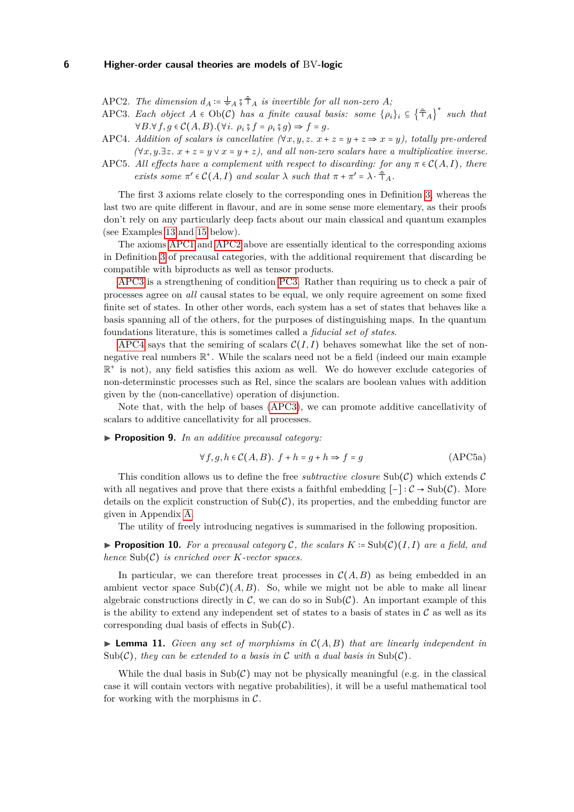<span id="page-5-0"></span>APC2. *The dimension*  $d_A := \frac{1}{2} A \hat{S}^{\dagger} A$  *is invertible for all non-zero A;* 

- <span id="page-5-1"></span>APC3. *Each object*  $A \in Ob(\mathcal{C})$  *has a finite causal basis: some*  $\{\rho_i\}_i \subseteq {\{\bar{\top}_A\}}^*$  *such that*  $∀B.∀f, q ∈ C(A, B)$ .(∀*i*.  $\rho_i$ ;  ${}^{\circ} f = \rho_i$ ;  ${}^{\circ} g$ )  $\Rightarrow$   $f = g$ .
- <span id="page-5-2"></span>APC4. *Addition of scalars is cancellative*  $(\forall x, y, z. x + z = y + z \Rightarrow x = y)$ , *totally pre-ordered*  $(∀x, y.∃z. x + z = y ∨ x = y + z)$ , and all non-zero scalars have a multiplicative inverse.
- <span id="page-5-3"></span>APC5. *All effects have a complement with respect to discarding: for any π* ∈ C(*A, I*)*, there exists some*  $\pi' \in C(A, I)$  *and scalar*  $\lambda$  *such that*  $\pi + \pi' = \lambda \cdot \overline{\overline{T}}_A$ *.*

The first 3 axioms relate closely to the corresponding ones in Definition [3,](#page-3-5) whereas the last two are quite different in flavour, and are in some sense more elementary, as their proofs don't rely on any particularly deep facts about our main classical and quantum examples (see Examples [13](#page-6-0) and [15](#page-6-1) below).

The axioms [APC1](#page-4-0) and [APC2](#page-5-0) above are essentially identical to the corresponding axioms in Definition [3](#page-3-5) of precausal categories, with the additional requirement that discarding be compatible with biproducts as well as tensor products.

[APC3](#page-5-1) is a strengthening of condition [PC3.](#page-3-4) Rather than requiring us to check a pair of processes agree on *all* causal states to be equal, we only require agreement on some fixed finite set of states. In other other words, each system has a set of states that behaves like a basis spanning all of the others, for the purposes of distinguishing maps. In the quantum foundations literature, this is sometimes called a *fiducial set of states*.

[APC4](#page-5-2) says that the semiring of scalars  $C(I, I)$  behaves somewhat like the set of nonnegative real numbers  $\mathbb{R}^+$ . While the scalars need not be a field (indeed our main example  $\mathbb{R}^+$  is not), any field satisfies this axiom as well. We do however exclude categories of non-determinstic processes such as Rel, since the scalars are boolean values with addition given by the (non-cancellative) operation of disjunction.

Note that, with the help of bases [\(APC3\)](#page-5-1), we can promote additive cancellativity of scalars to additive cancellativity for all processes.

<span id="page-5-5"></span>▶ **Proposition 9.** *In an additive precausal category:* 

$$
\forall f, g, h \in \mathcal{C}(A, B). \ f + h = g + h \Rightarrow f = g \tag{APC5a}
$$

This condition allows us to define the free *subtractive closure*  $\text{Sub}(\mathcal{C})$  which extends  $\mathcal{C}$ with all negatives and prove that there exists a faithful embedding  $[-]: \mathcal{C} \to \text{Sub}(\mathcal{C})$ . More details on the explicit construction of  $\text{Sub}(\mathcal{C})$ , its properties, and the embedding functor are given in Appendix [A.](#page-14-0)

The utility of freely introducing negatives is summarised in the following proposition.

<span id="page-5-6"></span>**► Proposition 10.** For a precausal category C, the scalars  $K := Sub(\mathcal{C})(I, I)$  are a field, and *hence* Sub(C) *is enriched over K-vector spaces.*

In particular, we can therefore treat processes in  $\mathcal{C}(A, B)$  as being embedded in an ambient vector space  $\text{Sub}(\mathcal{C})(A, B)$ . So, while we might not be able to make all linear algebraic constructions directly in  $\mathcal{C}$ , we can do so in Sub( $\mathcal{C}$ ). An important example of this is the ability to extend any independent set of states to a basis of states in  $\mathcal C$  as well as its corresponding dual basis of effects in  $Sub(\mathcal{C})$ .

<span id="page-5-4"></span> $\blacktriangleright$  **Lemma 11.** *Given any set of morphisms in*  $C(A, B)$  *that are linearly independent in* Sub( $C$ *), they can be extended to a basis in*  $C$  *with a dual basis in* Sub( $C$ ).

While the dual basis in  $\text{Sub}(\mathcal{C})$  may not be physically meaningful (e.g. in the classical case it will contain vectors with negative probabilities), it will be a useful mathematical tool for working with the morphisms in  $\mathcal{C}$ .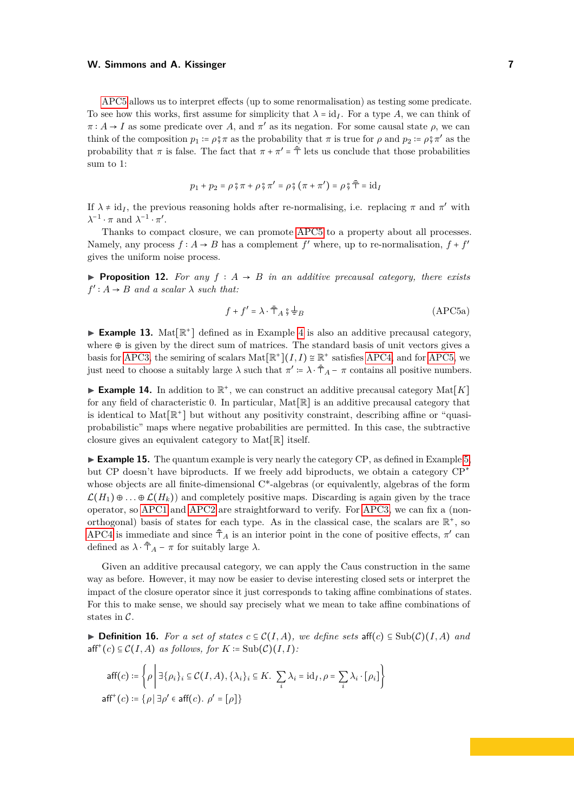[APC5](#page-5-3) allows us to interpret effects (up to some renormalisation) as testing some predicate. To see how this works, first assume for simplicity that  $\lambda = id_I$ . For a type A, we can think of  $\pi: A \to I$  as some predicate over *A*, and  $\pi'$  as its negation. For some causal state  $\rho$ , we can think of the composition  $p_1 := \rho \xi \pi$  as the probability that  $\pi$  is true for  $\rho$  and  $p_2 := \rho \xi \pi'$  as the probability that  $\pi$  is false. The fact that  $\pi \downarrow \pi'$ ,  $\bar{\pi}$  late us conclude that these probabilities probability that *π* is false. The fact that  $\pi + \pi' = \bar{\bar{\tau}}$  lets us conclude that those probabilities sum to 1:

$$
p_1 + p_2 = \rho \, \S \, \pi + \rho \, \S \, \pi' = \rho \, \S \, (\pi + \pi') = \rho \, \S \, \bar{\bar{\top}} = id_I
$$

If  $\lambda \neq id_I$ , the previous reasoning holds after re-normalising, i.e. replacing  $\pi$  and  $\pi'$  with  $\lambda^{-1} \cdot \pi$  and  $\lambda^{-1} \cdot \pi'$ .

Thanks to compact closure, we can promote [APC5](#page-5-3) to a property about all processes. Namely, any process  $f : A \to B$  has a complement  $f'$  where, up to re-normalisation,  $f + f'$ gives the uniform noise process.

<span id="page-6-2"></span>I **Proposition 12.** *For any f* ∶ *A* → *B in an additive precausal category, there exists*  $f': A \rightarrow B$  *and a scalar*  $\lambda$  *such that:* 

$$
f + f' = \lambda \cdot \bar{\bar{\tau}}_A \hat{\zeta} \stackrel{!}{=} B \tag{APC5a}
$$

<span id="page-6-0"></span> $\blacktriangleright$  **Example 13.** Mat $[\mathbb{R}^+]$  defined as in Example [4](#page-3-6) is also an additive precausal category, where  $\oplus$  is given by the direct sum of matrices. The standard basis of unit vectors gives a basis for [APC3,](#page-5-1) the semiring of scalars  $\text{Mat}[\mathbb{R}^+] (I, I) \cong \mathbb{R}^+$  satisfies [APC4,](#page-5-2) and for [APC5,](#page-5-3) we just need to choose a suitably large  $\lambda$  such that  $\pi' \coloneqq \lambda \cdot \bar{\bar{\top}}_A - \pi$  contains all positive numbers.

**Example 14.** In addition to  $\mathbb{R}^+$ , we can construct an additive precausal category  $\text{Mat}[K]$ for any field of characteristic 0. In particular,  $Mat[\mathbb{R}]$  is an additive precausal category that is identical to Mat<sup>[R+]</sup> but without any positivity constraint, describing affine or "quasiprobabilistic" maps where negative probabilities are permitted. In this case, the subtractive closure gives an equivalent category to  $Mat[\mathbb{R}]$  itself.

<span id="page-6-1"></span>► **Example 15.** The quantum example is very nearly the category CP, as defined in Example [5,](#page-3-7) but CP doesn't have biproducts. If we freely add biproducts, we obtain a category CP<sup>∗</sup> whose objects are all finite-dimensional  $C^*$ -algebras (or equivalently, algebras of the form  $\mathcal{L}(H_1) \oplus \ldots \oplus \mathcal{L}(H_k)$  and completely positive maps. Discarding is again given by the trace operator, so [APC1](#page-4-0) and [APC2](#page-5-0) are straightforward to verify. For [APC3,](#page-5-1) we can fix a (nonorthogonal) basis of states for each type. As in the classical case, the scalars are  $\mathbb{R}^+$ , so [APC4](#page-5-2) is immediate and since  $\bar{\bar{\tau}}_A$  is an interior point in the cone of positive effects,  $\pi'$  can defined as  $\lambda \cdot \bar{\bar{\tau}}_A - \pi$  for suitably large  $\lambda$ .

Given an additive precausal category, we can apply the Caus construction in the same way as before. However, it may now be easier to devise interesting closed sets or interpret the impact of the closure operator since it just corresponds to taking affine combinations of states. For this to make sense, we should say precisely what we mean to take affine combinations of states in C.

**► Definition 16.** For a set of states  $c \text{ } \text{\ensuremath{\in}} \mathcal{C}(I,A)$ , we define sets aff( $c$ )  $\text{\ensuremath{\in}} \text{Sub}(\mathcal{C})(I,A)$  and aff<sup>+</sup>(c) ⊆  $C(I, A)$  *as follows, for*  $K := \text{Sub}(C)(I, I)$ *:* 

$$
\mathsf{aff}(c) \coloneqq \left\{ \rho \, \middle| \, \exists \{ \rho_i \}_i \subseteq \mathcal{C}(I, A), \{ \lambda_i \}_i \subseteq K. \quad \sum_i \lambda_i = \mathrm{id}_I, \rho = \sum_i \lambda_i \cdot [\rho_i] \right\}
$$
\n
$$
\mathsf{aff}^+(c) \coloneqq \left\{ \rho \, \middle| \, \exists \rho' \in \mathsf{aff}(c). \, \rho' = [\rho] \right\}
$$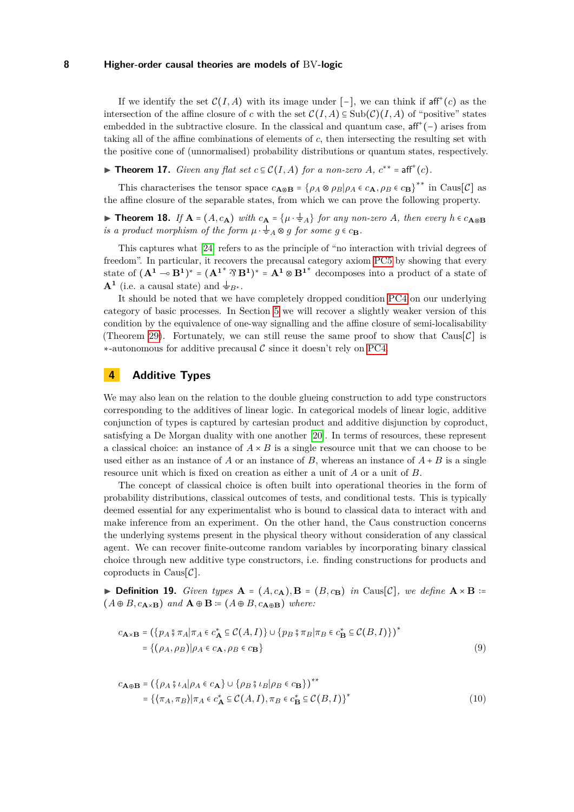If we identify the set  $C(I, A)$  with its image under  $[-]$ , we can think if aff<sup>+</sup>(c) as the intersection of the affine closure of *c* with the set  $C(I, A) \subseteq Sub(C)(I, A)$  of "positive" states embedded in the subtractive closure. In the classical and quantum case,  $\mathsf{aff}^+(-)$  arises from taking all of the affine combinations of elements of *c*, then intersecting the resulting set with the positive cone of (unnormalised) probability distributions or quantum states, respectively.

<span id="page-7-2"></span>▶ **Theorem 17.** *Given any flat set*  $c \subseteq C(I, A)$  *for a non-zero*  $A$ *,*  $c^{**} = \text{aff}^+(c)$ *.* 

This characterises the tensor space  $c_{\mathbf{A}\otimes\mathbf{B}} = {\rho_A \otimes \rho_B | \rho_A \in c_{\mathbf{A}}, \rho_B \in c_{\mathbf{B}}}^{**}$  in Caus[C] as the affine closure of the separable states, from which we can prove the following property.

<span id="page-7-3"></span>**► Theorem 18.** *If*  $A = (A, c_A)$  *with*  $c_A = \{\mu \cdot \frac{1}{a}A\}$  *for any non-zero A, then every*  $h \in c_{A \otimes B}$ *is a product morphism of the form*  $\mu \cdot \frac{1}{\pm A} \otimes g$  *for some*  $g \in c_{\mathbf{B}}$ *.* 

This captures what [\[24\]](#page-13-8) refers to as the principle of "no interaction with trivial degrees of freedom". In particular, it recovers the precausal category axiom [PC5](#page-3-1) by showing that every state of  $(A^1 \rightarrow B^1)^* = (A^1 \times B^1)^* = A^1 \otimes B^1 \times \text{ decomposes into a product of a state of }$  ${\bf A}^{\bf 1}$  (i.e. a causal state) and  $\pm_{B^*}$ .

It should be noted that we have completely dropped condition [PC4](#page-3-0) on our underlying category of basic processes. In Section [5](#page-8-0) we will recover a slightly weaker version of this condition by the equivalence of one-way signalling and the affine closure of semi-localisability (Theorem [29\)](#page-10-0). Fortunately, we can still reuse the same proof to show that  $\text{Caus}[\mathcal{C}]$  is ∗-autonomous for additive precausal C since it doesn't rely on [PC4.](#page-3-0)

## <span id="page-7-4"></span>**4 Additive Types**

We may also lean on the relation to the double glueing construction to add type constructors corresponding to the additives of linear logic. In categorical models of linear logic, additive conjunction of types is captured by cartesian product and additive disjunction by coproduct, satisfying a De Morgan duality with one another [\[20\]](#page-13-11). In terms of resources, these represent a classical choice: an instance of  $A \times B$  is a single resource unit that we can choose to be used either as an instance of *A* or an instance of *B*, whereas an instance of  $A + B$  is a single resource unit which is fixed on creation as either a unit of *A* or a unit of *B*.

The concept of classical choice is often built into operational theories in the form of probability distributions, classical outcomes of tests, and conditional tests. This is typically deemed essential for any experimentalist who is bound to classical data to interact with and make inference from an experiment. On the other hand, the Caus construction concerns the underlying systems present in the physical theory without consideration of any classical agent. We can recover finite-outcome random variables by incorporating binary classical choice through new additive type constructors, i.e. finding constructions for products and coproducts in  $\text{Caus}[\mathcal{C}]$ .

<span id="page-7-0"></span>**► Definition 19.** *Given types*  $\mathbf{A} = (A, c_{\mathbf{A}}), \mathbf{B} = (B, c_{\mathbf{B}})$  *in* Caus[C], we define  $\mathbf{A} \times \mathbf{B}$  :=  $(A \oplus B, c_{\mathbf{A} \times \mathbf{B}})$  and  $\mathbf{A} \oplus \mathbf{B} := (A \oplus B, c_{\mathbf{A} \oplus \mathbf{B}})$  where:

$$
c_{\mathbf{A} \times \mathbf{B}} = (\{p_A \circ \pi_A | \pi_A \in c^*_{\mathbf{A}} \subseteq \mathcal{C}(A, I)\} \cup \{p_B \circ \pi_B | \pi_B \in c^*_{\mathbf{B}} \subseteq \mathcal{C}(B, I)\})^*
$$
  
= {( $\rho_A, \rho_B$ )}| $\rho_A \in c_{\mathbf{A}}, \rho_B \in c_{\mathbf{B}}$ } (9)

<span id="page-7-5"></span><span id="page-7-1"></span>
$$
c_{\mathbf{A}\oplus\mathbf{B}} = (\{\rho_A \circ \iota_A | \rho_A \in c_{\mathbf{A}}\} \cup \{\rho_B \circ \iota_B | \rho_B \in c_{\mathbf{B}}\})^{**}
$$
  
= { $\{\langle \pi_A, \pi_B \rangle | \pi_A \in c_{\mathbf{A}}^* \subseteq \mathcal{C}(A, I), \pi_B \in c_{\mathbf{B}}^* \subseteq \mathcal{C}(B, I)\}^*$  (10)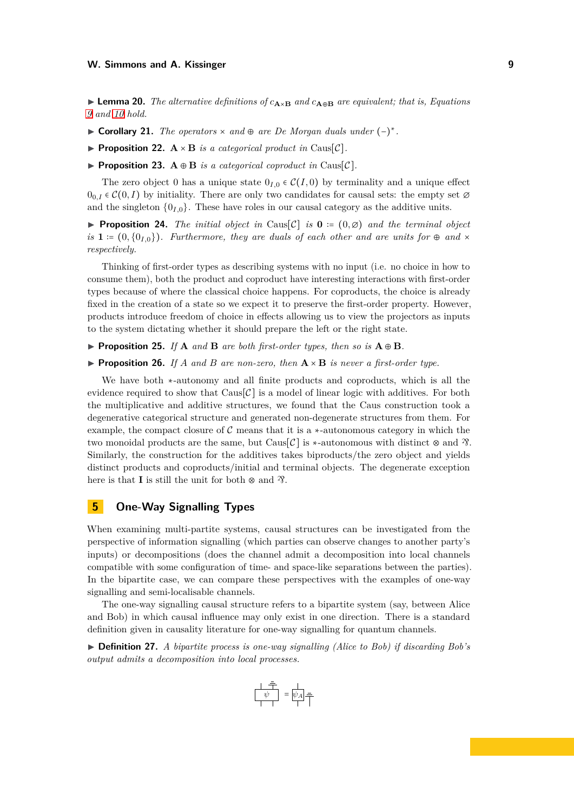► **Lemma 20.** *The alternative definitions of*  $c_{\mathbf{A} \times \mathbf{B}}$  *and*  $c_{\mathbf{A} \oplus \mathbf{B}}$  *are equivalent; that is, Equations [9](#page-7-0) and [10](#page-7-1) hold.*

- <span id="page-8-2"></span>► **Corollary 21.** *The operators*  $\times$  *and*  $\oplus$  *are De Morgan duals under*  $(-)^*$ *.*
- <span id="page-8-3"></span>**Proposition 22.**  $\mathbf{A} \times \mathbf{B}$  *is a categorical product in* Caus[ $\mathcal{C}$ ]*.*
- <span id="page-8-4"></span>**► Proposition 23.**  $A \oplus B$  *is a categorical coproduct in* Caus[ $C$ ].

The zero object 0 has a unique state  $0_{I,0} \in C(I,0)$  by terminality and a unique effect  $0_{0,I} \in \mathcal{C}(0,I)$  by initiality. There are only two candidates for causal sets: the empty set ∅ and the singleton  ${0}_{I,0}$ . These have roles in our causal category as the additive units.

<span id="page-8-5"></span>**► Proposition 24.** *The initial object in* Caus[ $C$ ] *is*  $\mathbf{0} := (0, \emptyset)$  *and the terminal object is* **1** :=  $(0, \{0_{I,0}\})$ *. Furthermore, they are duals of each other and are units for*  $\oplus$  *and*  $\times$ *respectively.*

Thinking of first-order types as describing systems with no input (i.e. no choice in how to consume them), both the product and coproduct have interesting interactions with first-order types because of where the classical choice happens. For coproducts, the choice is already fixed in the creation of a state so we expect it to preserve the first-order property. However, products introduce freedom of choice in effects allowing us to view the projectors as inputs to the system dictating whether it should prepare the left or the right state.

<span id="page-8-6"></span>▶ **Proposition 25.** *If* **A** *and* **B** *are both first-order types, then so is*  $\mathbf{A} \oplus \mathbf{B}$ *.* 

<span id="page-8-7"></span>**Proposition 26.** *If*  $A$  *and*  $B$  *are non-zero, then*  $A \times B$  *is never a first-order type.* 

We have both ∗-autonomy and all finite products and coproducts, which is all the evidence required to show that  $\text{Caus}[\mathcal{C}]$  is a model of linear logic with additives. For both the multiplicative and additive structures, we found that the Caus construction took a degenerative categorical structure and generated non-degenerate structures from them. For example, the compact closure of C means that it is a  $\ast$ -autonomous category in which the two monoidal products are the same, but Caus[C] is  $\ast$ -autonomous with distinct ⊗ and  $\mathcal{R}$ . Similarly, the construction for the additives takes biproducts/the zero object and yields distinct products and coproducts/initial and terminal objects. The degenerate exception here is that **I** is still the unit for both ⊗ and  $\mathcal{R}$ .

## <span id="page-8-0"></span>**5 One-Way Signalling Types**

When examining multi-partite systems, causal structures can be investigated from the perspective of information signalling (which parties can observe changes to another party's inputs) or decompositions (does the channel admit a decomposition into local channels compatible with some configuration of time- and space-like separations between the parties). In the bipartite case, we can compare these perspectives with the examples of one-way signalling and semi-localisable channels.

The one-way signalling causal structure refers to a bipartite system (say, between Alice and Bob) in which causal influence may only exist in one direction. There is a standard definition given in causality literature for one-way signalling for quantum channels.

<span id="page-8-1"></span>▶ **Definition 27.** *A bipartite process is one-way signalling (Alice to Bob) if discarding Bob's output admits a decomposition into local processes.*

$$
\begin{array}{c}\n\downarrow \frac{\div}{\div} \\
\hline\n\downarrow \psi\n\end{array} = \begin{array}{c}\n\downarrow \\
\psi_A\n\end{array} =
$$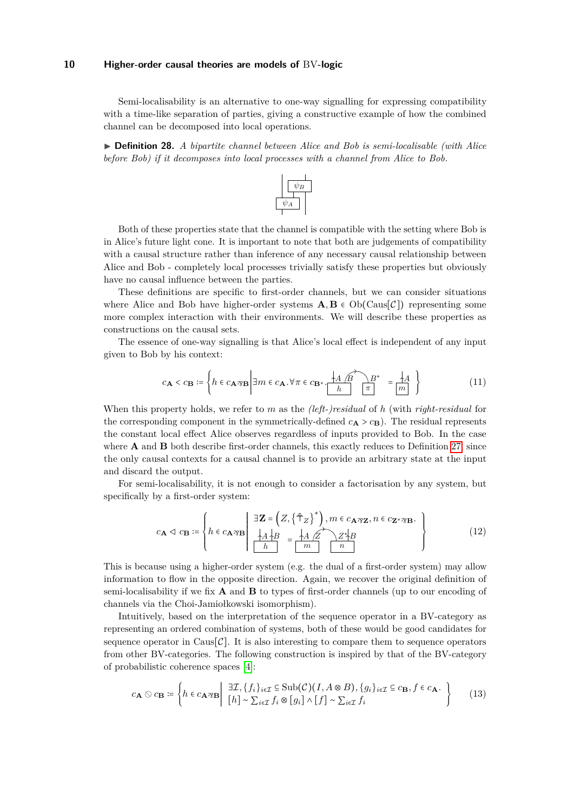Semi-localisability is an alternative to one-way signalling for expressing compatibility with a time-like separation of parties, giving a constructive example of how the combined channel can be decomposed into local operations.

I **Definition 28.** *A bipartite channel between Alice and Bob is semi-localisable (with Alice before Bob) if it decomposes into local processes with a channel from Alice to Bob.*



Both of these properties state that the channel is compatible with the setting where Bob is in Alice's future light cone. It is important to note that both are judgements of compatibility with a causal structure rather than inference of any necessary causal relationship between Alice and Bob - completely local processes trivially satisfy these properties but obviously have no causal influence between the parties.

These definitions are specific to first-order channels, but we can consider situations where Alice and Bob have higher-order systems  $\mathbf{A}, \mathbf{B} \in Ob(Caus[\mathcal{C}])$  representing some more complex interaction with their environments. We will describe these properties as constructions on the causal sets.

The essence of one-way signalling is that Alice's local effect is independent of any input given to Bob by his context:

$$
c_{\mathbf{A}} < c_{\mathbf{B}} \coloneqq \left\{ h \in c_{\mathbf{A}} \text{ and } \exists m \in c_{\mathbf{A}}. \forall \pi \in c_{\mathbf{B}^*} . \frac{\downarrow A \text{ (B)}}{h} \quad \boxed{\pi}^* = \frac{\downarrow A}{[m]} \right\} \tag{11}
$$

When this property holds, we refer to *m* as the *(left-)residual* of *h* (with *right-residual* for the corresponding component in the symmetrically-defined  $c_{\mathbf{A}} > c_{\mathbf{B}}$ ). The residual represents the constant local effect Alice observes regardless of inputs provided to Bob. In the case where **A** and **B** both describe first-order channels, this exactly reduces to Definition [27,](#page-8-1) since the only causal contexts for a causal channel is to provide an arbitrary state at the input and discard the output.

For semi-localisability, it is not enough to consider a factorisation by any system, but specifically by a first-order system:

$$
c_{\mathbf{A}} \triangleleft c_{\mathbf{B}} \coloneqq \left\{ h \in c_{\mathbf{A}} \text{ as } h \text{ is a constant of } \mathbf{A} \text{ is } \begin{cases} \n\exists \mathbf{Z} = \left( Z, \left\{ \bar{\top}_Z \right\}^* \right), m \in c_{\mathbf{A}} \text{ as } z, n \in c_{\mathbf{Z}^* \text{ } \mathbf{B}} \\ \n\frac{\downarrow_A \downarrow_B}{h} &= \frac{\downarrow_A \, \mathcal{Z}}{m} \begin{cases} \n\frac{\downarrow_A \downarrow_B}{n} & \text{if } k \text{ is a constant.} \n\end{cases} \right\} \tag{12}
$$

This is because using a higher-order system (e.g. the dual of a first-order system) may allow information to flow in the opposite direction. Again, we recover the original definition of semi-localisability if we fix **A** and **B** to types of first-order channels (up to our encoding of channels via the Choi-Jamiołkowski isomorphism).

Intuitively, based on the interpretation of the sequence operator in a BV-category as representing an ordered combination of systems, both of these would be good candidates for sequence operator in Caus[ $\mathcal{C}$ ]. It is also interesting to compare them to sequence operators from other BV-categories. The following construction is inspired by that of the BV-category of probabilistic coherence spaces [\[4\]](#page-12-6):

$$
c_{\mathbf{A}} \odot c_{\mathbf{B}} \coloneqq \left\{ h \in c_{\mathbf{A}} \text{B} \mid \exists \mathcal{I}, \{f_i\}_{i \in \mathcal{I}} \subseteq \text{Sub}(\mathcal{C})(I, A \otimes B), \{g_i\}_{i \in \mathcal{I}} \subseteq c_{\mathbf{B}}, f \in c_{\mathbf{A}}. \right\}
$$
(13)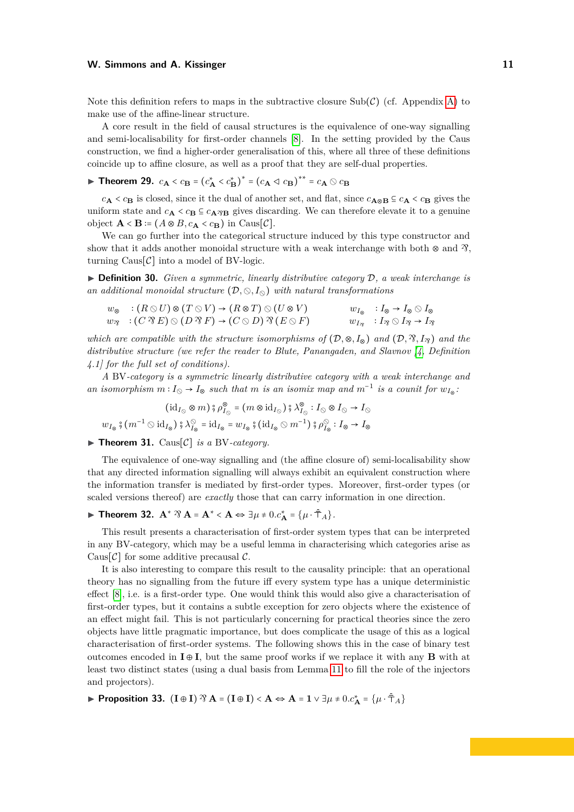#### **W. Simmons and A. Kissinger 11** and the state of the state of the state of the state of the state of the state of the state of the state of the state of the state of the state of the state of the state of the state of the

Note this definition refers to maps in the subtractive closure  $\text{Sub}(\mathcal{C})$  (cf. Appendix [A\)](#page-14-0) to make use of the affine-linear structure.

A core result in the field of causal structures is the equivalence of one-way signalling and semi-localisability for first-order channels [\[8\]](#page-12-0). In the setting provided by the Caus construction, we find a higher-order generalisation of this, where all three of these definitions coincide up to affine closure, as well as a proof that they are self-dual properties.

<span id="page-10-0"></span>► **Theorem 29.**  $c_{\mathbf{A}} < c_{\mathbf{B}} = (c_{\mathbf{A}}^* < c_{\mathbf{B}}^*)^* = (c_{\mathbf{A}} \triangleleft c_{\mathbf{B}})^{**} = c_{\mathbf{A}} \odot c_{\mathbf{B}}$ 

 $c$ **A** < *c***B** is closed, since it the dual of another set, and flat, since  $c$ **A**⊗**B** ⊆  $c$ **A** <  $c$ **B** gives the uniform state and  $c_{\mathbf{A}} < c_{\mathbf{B}} \subseteq c_{\mathbf{A}\mathfrak{B}}$  gives discarding. We can therefore elevate it to a genuine object  $\mathbf{A} \times \mathbf{B} = (A \otimes B, c_{\mathbf{A}} \times c_{\mathbf{B}})$  in Caus[C].

We can go further into the categorical structure induced by this type constructor and show that it adds another monoidal structure with a weak interchange with both ⊗ and  $\mathcal{V}$ . turning  $\text{Caus}[\mathcal{C}]$  into a model of BV-logic.

I **Definition 30.** *Given a symmetric, linearly distributive category* D*, a weak interchange is an additional monoidal structure*  $(D, \Diamond, I_{\Diamond})$  *with natural transformations* 

$$
w_{\otimes} : (R \otimes U) \otimes (T \otimes V) \to (R \otimes T) \otimes (U \otimes V) \qquad w_{I_{\otimes}} : I_{\otimes} \to I_{\otimes} \otimes I_{\otimes}
$$
  

$$
w_{\otimes} : (C \otimes E) \otimes (D \otimes F) \to (C \otimes D) \otimes (E \otimes F) \qquad w_{I_{\otimes}} : I_{\otimes} \otimes I_{\otimes} \to I_{\otimes}
$$

*which are compatible with the structure isomorphisms of*  $(D, \otimes, I_{\otimes})$  *and*  $(D, \ddot{\gamma}, I_{\dot{\gamma}})$  *and the distributive structure (we refer the reader to Blute, Panangaden, and Slavnov [\[4,](#page-12-6) Definition 4.1] for the full set of conditions).*

*A* BV*-category is a symmetric linearly distributive category with a weak interchange and an isomorphism*  $m: I_{\odot} \to I_{\otimes}$  *such that*  $m$  *is an isomix map and*  $m^{-1}$  *is a counit for*  $w_{I_{\otimes}}$ *:* 

$$
(\mathrm{id}_{I_{\odot}} \otimes m) \circ \rho_{I_{\odot}}^{\otimes} = (m \otimes \mathrm{id}_{I_{\odot}}) \circ \lambda_{I_{\odot}}^{\otimes} : I_{\odot} \otimes I_{\odot} \to I_{\odot}
$$
  

$$
w_{I_{\otimes}} \circ (m^{-1} \otimes \mathrm{id}_{I_{\otimes}}) \circ \lambda_{I_{\otimes}}^{\odot} = \mathrm{id}_{I_{\otimes}} = w_{I_{\otimes}} \circ (\mathrm{id}_{I_{\otimes}} \otimes m^{-1}) \circ \rho_{I_{\otimes}}^{\odot} : I_{\otimes} \to I_{\otimes}
$$

<span id="page-10-1"></span> $\blacktriangleright$  **Theorem 31.** Caus[C] *is a* BV-*category.* 

The equivalence of one-way signalling and (the affine closure of) semi-localisability show that any directed information signalling will always exhibit an equivalent construction where the information transfer is mediated by first-order types. Moreover, first-order types (or scaled versions thereof) are *exactly* those that can carry information in one direction.

## <span id="page-10-2"></span>▶ **Theorem 32.**  $\mathbf{A}^* \mathcal{R} \mathbf{A} = \mathbf{A}^* < \mathbf{A} \Leftrightarrow \exists \mu \neq 0 \cdot c^* \mathbf{A} = {\mu \cdot \bar{\bar{\tau}}_A}.$

This result presents a characterisation of first-order system types that can be interpreted in any BV-category, which may be a useful lemma in characterising which categories arise as Caus[ $\mathcal{C}$ ] for some additive precausal  $\mathcal{C}$ .

It is also interesting to compare this result to the causality principle: that an operational theory has no signalling from the future iff every system type has a unique deterministic effect [\[8\]](#page-12-0), i.e. is a first-order type. One would think this would also give a characterisation of first-order types, but it contains a subtle exception for zero objects where the existence of an effect might fail. This is not particularly concerning for practical theories since the zero objects have little pragmatic importance, but does complicate the usage of this as a logical characterisation of first-order systems. The following shows this in the case of binary test outcomes encoded in **I** ⊕ **I**, but the same proof works if we replace it with any **B** with at least two distinct states (using a dual basis from Lemma [11](#page-5-4) to fill the role of the injectors and projectors).

<span id="page-10-3"></span>▶ **Proposition 33.**  $(\mathbf{I} \oplus \mathbf{I}) \mathcal{B} \mathbf{A} = (\mathbf{I} \oplus \mathbf{I}) \leq \mathbf{A} \Leftrightarrow \mathbf{A} = \mathbf{1} \vee \exists \mu \neq 0 \ldots c^*_{\mathbf{A}} = \{\mu \cdot \bar{\top}_A\}$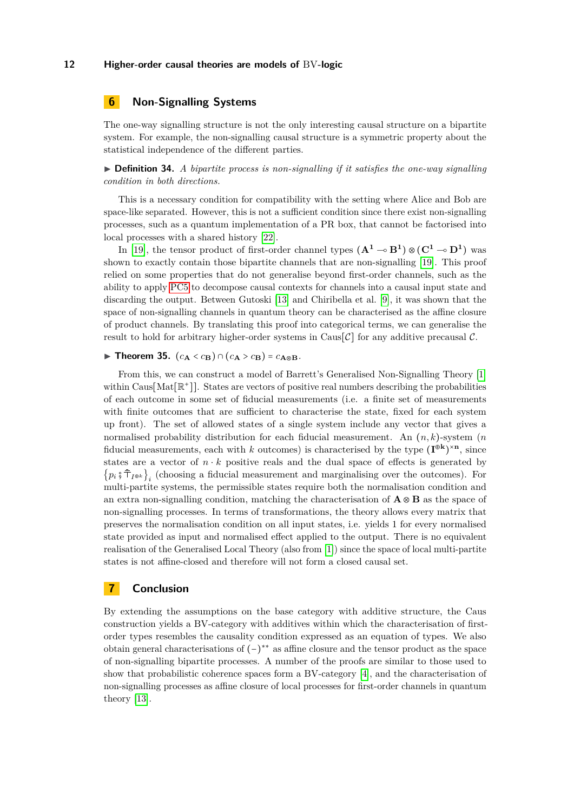## <span id="page-11-0"></span>**6 Non-Signalling Systems**

The one-way signalling structure is not the only interesting causal structure on a bipartite system. For example, the non-signalling causal structure is a symmetric property about the statistical independence of the different parties.

 $\triangleright$  **Definition 34.** *A bipartite process is non-signalling if it satisfies the one-way signalling condition in both directions.*

This is a necessary condition for compatibility with the setting where Alice and Bob are space-like separated. However, this is not a sufficient condition since there exist non-signalling processes, such as a quantum implementation of a PR box, that cannot be factorised into local processes with a shared history [\[22\]](#page-13-12).

In [\[19\]](#page-13-3), the tensor product of first-order channel types  $(A^1 \neg B^1) \otimes (C^1 \neg D^1)$  was shown to exactly contain those bipartite channels that are non-signalling [\[19\]](#page-13-3). This proof relied on some properties that do not generalise beyond first-order channels, such as the ability to apply [PC5](#page-3-1) to decompose causal contexts for channels into a causal input state and discarding the output. Between Gutoski [\[13\]](#page-13-13) and Chiribella et al. [\[9\]](#page-13-4), it was shown that the space of non-signalling channels in quantum theory can be characterised as the affine closure of product channels. By translating this proof into categorical terms, we can generalise the result to hold for arbitrary higher-order systems in Caus[ $\mathcal{C}$ ] for any additive precausal  $\mathcal{C}$ .

## <span id="page-11-1"></span>**►** Theorem 35.  $(c_A < c_B) \cap (c_A > c_B) = c_{A \otimes B}$ .

From this, we can construct a model of Barrett's Generalised Non-Signalling Theory [\[1\]](#page-12-7) within Caus[Mat[ $\mathbb{R}^+$ ]]. States are vectors of positive real numbers describing the probabilities of each outcome in some set of fiducial measurements (i.e. a finite set of measurements with finite outcomes that are sufficient to characterise the state, fixed for each system up front). The set of allowed states of a single system include any vector that gives a normalised probability distribution for each fiducial measurement. An  $(n, k)$ -system  $(n, k)$ fiducial measurements, each with *k* outcomes) is characterised by the type  $(\mathbf{I}^{\oplus k})^{\times n}$ , since states are a vector of  $n \cdot k$  positive reals and the dual space of effects is generated by  ${p_i}$ ;  $\overline{\tau}_{I^{\oplus k}}$  (choosing a fiducial measurement and marginalising over the outcomes). For multi-partite systems, the permissible states require both the normalisation condition and an extra non-signalling condition, matching the characterisation of **A** ⊗ **B** as the space of non-signalling processes. In terms of transformations, the theory allows every matrix that preserves the normalisation condition on all input states, i.e. yields 1 for every normalised state provided as input and normalised effect applied to the output. There is no equivalent realisation of the Generalised Local Theory (also from [\[1\]](#page-12-7)) since the space of local multi-partite states is not affine-closed and therefore will not form a closed causal set.

## **7 Conclusion**

By extending the assumptions on the base category with additive structure, the Caus construction yields a BV-category with additives within which the characterisation of firstorder types resembles the causality condition expressed as an equation of types. We also obtain general characterisations of (−) ∗∗ as affine closure and the tensor product as the space of non-signalling bipartite processes. A number of the proofs are similar to those used to show that probabilistic coherence spaces form a BV-category [\[4\]](#page-12-6), and the characterisation of non-signalling processes as affine closure of local processes for first-order channels in quantum theory [\[13\]](#page-13-13).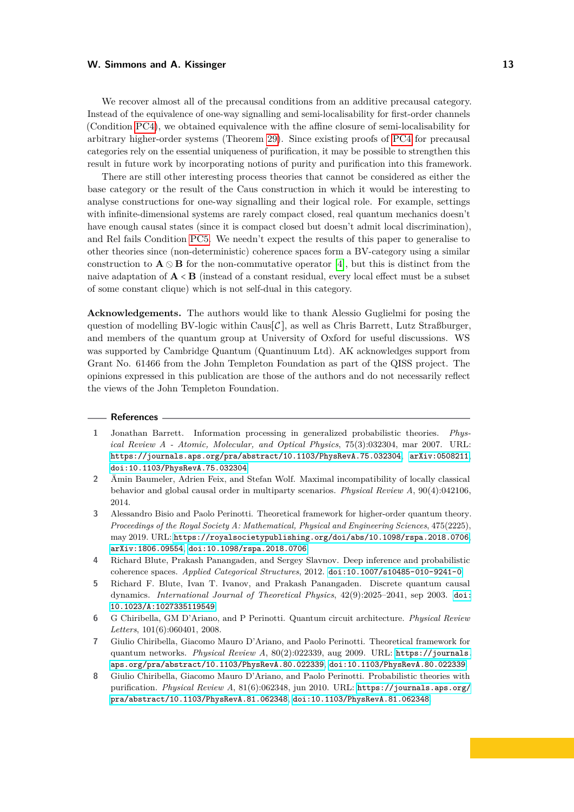We recover almost all of the precausal conditions from an additive precausal category. Instead of the equivalence of one-way signalling and semi-localisability for first-order channels (Condition [PC4\)](#page-3-0), we obtained equivalence with the affine closure of semi-localisability for arbitrary higher-order systems (Theorem [29\)](#page-10-0). Since existing proofs of [PC4](#page-3-0) for precausal categories rely on the essential uniqueness of purification, it may be possible to strengthen this result in future work by incorporating notions of purity and purification into this framework.

There are still other interesting process theories that cannot be considered as either the base category or the result of the Caus construction in which it would be interesting to analyse constructions for one-way signalling and their logical role. For example, settings with infinite-dimensional systems are rarely compact closed, real quantum mechanics doesn't have enough causal states (since it is compact closed but doesn't admit local discrimination), and Rel fails Condition [PC5.](#page-3-1) We needn't expect the results of this paper to generalise to other theories since (non-deterministic) coherence spaces form a BV-category using a similar construction to  $\mathbf{A} \otimes \mathbf{B}$  for the non-commutative operator [\[4\]](#page-12-6), but this is distinct from the naive adaptation of  $\mathbf{A} \times \mathbf{B}$  (instead of a constant residual, every local effect must be a subset of some constant clique) which is not self-dual in this category.

**Acknowledgements.** The authors would like to thank Alessio Guglielmi for posing the question of modelling BV-logic within  $Caus[\mathcal{C}]$ , as well as Chris Barrett, Lutz Straßburger, and members of the quantum group at University of Oxford for useful discussions. WS was supported by Cambridge Quantum (Quantinuum Ltd). AK acknowledges support from Grant No. 61466 from the John Templeton Foundation as part of the QISS project. The opinions expressed in this publication are those of the authors and do not necessarily reflect the views of the John Templeton Foundation.

#### **References**

- <span id="page-12-7"></span>**1** Jonathan Barrett. Information processing in generalized probabilistic theories. *Physical Review A - Atomic, Molecular, and Optical Physics*, 75(3):032304, mar 2007. URL: <https://journals.aps.org/pra/abstract/10.1103/PhysRevA.75.032304>, [arXiv:0508211](http://arxiv.org/abs/0508211), [doi:10.1103/PhysRevA.75.032304](https://doi.org/10.1103/PhysRevA.75.032304).
- <span id="page-12-2"></span>**2** Ämin Baumeler, Adrien Feix, and Stefan Wolf. Maximal incompatibility of locally classical behavior and global causal order in multiparty scenarios. *Physical Review A*, 90(4):042106, 2014.
- <span id="page-12-5"></span>**3** Alessandro Bisio and Paolo Perinotti. Theoretical framework for higher-order quantum theory. *Proceedings of the Royal Society A: Mathematical, Physical and Engineering Sciences*, 475(2225), may 2019. URL: <https://royalsocietypublishing.org/doi/abs/10.1098/rspa.2018.0706>, [arXiv:1806.09554](http://arxiv.org/abs/1806.09554), [doi:10.1098/rspa.2018.0706](https://doi.org/10.1098/rspa.2018.0706).
- <span id="page-12-6"></span>**4** Richard Blute, Prakash Panangaden, and Sergey Slavnov. Deep inference and probabilistic coherence spaces. *Applied Categorical Structures*, 2012. [doi:10.1007/s10485-010-9241-0](https://doi.org/10.1007/s10485-010-9241-0).
- <span id="page-12-3"></span>**5** Richard F. Blute, Ivan T. Ivanov, and Prakash Panangaden. Discrete quantum causal dynamics. *International Journal of Theoretical Physics*, 42(9):2025–2041, sep 2003. [doi:](https://doi.org/10.1023/A:1027335119549) [10.1023/A:1027335119549](https://doi.org/10.1023/A:1027335119549).
- <span id="page-12-1"></span>**6** G Chiribella, GM D'Ariano, and P Perinotti. Quantum circuit architecture. *Physical Review Letters*, 101(6):060401, 2008.
- <span id="page-12-4"></span>**7** Giulio Chiribella, Giacomo Mauro D'Ariano, and Paolo Perinotti. Theoretical framework for quantum networks. *Physical Review A*, 80(2):022339, aug 2009. URL: [https://journals.](https://journals.aps.org/pra/abstract/10.1103/PhysRevA.80.022339) [aps.org/pra/abstract/10.1103/PhysRevA.80.022339](https://journals.aps.org/pra/abstract/10.1103/PhysRevA.80.022339), [doi:10.1103/PhysRevA.80.022339](https://doi.org/10.1103/PhysRevA.80.022339).
- <span id="page-12-0"></span>**8** Giulio Chiribella, Giacomo Mauro D'Ariano, and Paolo Perinotti. Probabilistic theories with purification. *Physical Review A*, 81(6):062348, jun 2010. URL: [https://journals.aps.org/](https://journals.aps.org/pra/abstract/10.1103/PhysRevA.81.062348) [pra/abstract/10.1103/PhysRevA.81.062348](https://journals.aps.org/pra/abstract/10.1103/PhysRevA.81.062348), [doi:10.1103/PhysRevA.81.062348](https://doi.org/10.1103/PhysRevA.81.062348).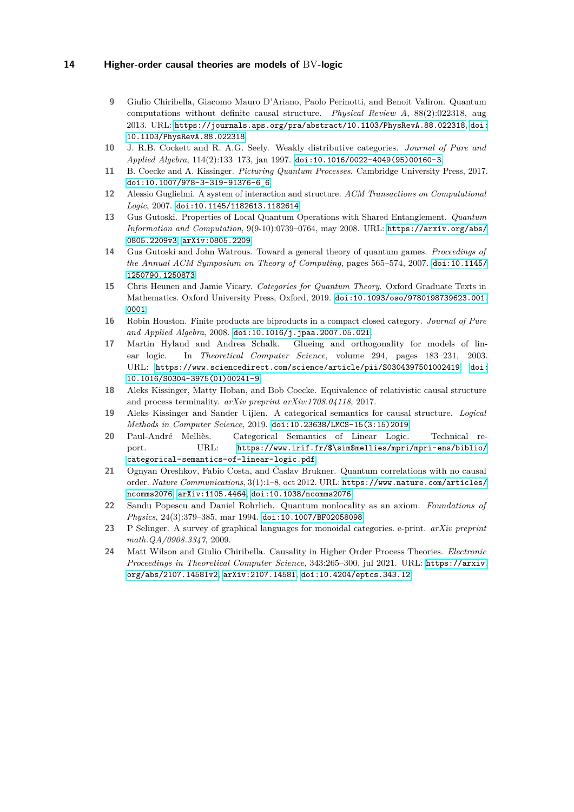- <span id="page-13-4"></span>**9** Giulio Chiribella, Giacomo Mauro D'Ariano, Paolo Perinotti, and Benoit Valiron. Quantum computations without definite causal structure. *Physical Review A*, 88(2):022318, aug 2013. URL: <https://journals.aps.org/pra/abstract/10.1103/PhysRevA.88.022318>, [doi:](https://doi.org/10.1103/PhysRevA.88.022318) [10.1103/PhysRevA.88.022318](https://doi.org/10.1103/PhysRevA.88.022318).
- <span id="page-13-15"></span>**10** J. R.B. Cockett and R. A.G. Seely. Weakly distributive categories. *Journal of Pure and Applied Algebra*, 114(2):133–173, jan 1997. [doi:10.1016/0022-4049\(95\)00160-3](https://doi.org/10.1016/0022-4049(95)00160-3).
- <span id="page-13-7"></span>**11** B. Coecke and A. Kissinger. *Picturing Quantum Processes*. Cambridge University Press, 2017. [doi:10.1007/978-3-319-91376-6\\_6](https://doi.org/10.1007/978-3-319-91376-6_6).
- <span id="page-13-6"></span>**12** Alessio Guglielmi. A system of interaction and structure. *ACM Transactions on Computational Logic*, 2007. [doi:10.1145/1182613.1182614](https://doi.org/10.1145/1182613.1182614).
- <span id="page-13-13"></span>**13** Gus Gutoski. Properties of Local Quantum Operations with Shared Entanglement. *Quantum Information and Computation*, 9(9-10):0739–0764, may 2008. URL: [https://arxiv.org/abs/](https://arxiv.org/abs/0805.2209v3) [0805.2209v3](https://arxiv.org/abs/0805.2209v3), [arXiv:0805.2209](http://arxiv.org/abs/0805.2209).
- <span id="page-13-2"></span>**14** Gus Gutoski and John Watrous. Toward a general theory of quantum games. *Proceedings of the Annual ACM Symposium on Theory of Computing*, pages 565–574, 2007. [doi:10.1145/](https://doi.org/10.1145/1250790.1250873) [1250790.1250873](https://doi.org/10.1145/1250790.1250873).
- <span id="page-13-14"></span>**15** Chris Heunen and Jamie Vicary. *Categories for Quantum Theory*. Oxford Graduate Texts in Mathematics. Oxford University Press, Oxford, 2019. [doi:10.1093/oso/9780198739623.001.](https://doi.org/10.1093/oso/9780198739623.001.0001) [0001](https://doi.org/10.1093/oso/9780198739623.001.0001).
- <span id="page-13-10"></span>**16** Robin Houston. Finite products are biproducts in a compact closed category. *Journal of Pure and Applied Algebra*, 2008. [doi:10.1016/j.jpaa.2007.05.021](https://doi.org/10.1016/j.jpaa.2007.05.021).
- <span id="page-13-9"></span>**17** Martin Hyland and Andrea Schalk. Glueing and orthogonality for models of linear logic. In *Theoretical Computer Science*, volume 294, pages 183–231, 2003. URL: <https://www.sciencedirect.com/science/article/pii/S0304397501002419>, [doi:](https://doi.org/10.1016/S0304-3975(01)00241-9) [10.1016/S0304-3975\(01\)00241-9](https://doi.org/10.1016/S0304-3975(01)00241-9).
- <span id="page-13-0"></span>**18** Aleks Kissinger, Matty Hoban, and Bob Coecke. Equivalence of relativistic causal structure and process terminality. *arXiv preprint arXiv:1708.04118*, 2017.
- <span id="page-13-3"></span>**19** Aleks Kissinger and Sander Uijlen. A categorical semantics for causal structure. *Logical Methods in Computer Science*, 2019. [doi:10.23638/LMCS-15\(3:15\)2019](https://doi.org/10.23638/LMCS-15(3:15)2019).
- <span id="page-13-11"></span>**20** Paul-André Melliès. Categorical Semantics of Linear Logic. Technical report. URL: [https://www.irif.fr/\\$\sim\\$mellies/mpri/mpri-ens/biblio/](https://www.irif.fr/$\sim $mellies/mpri/mpri-ens/biblio/categorical-semantics-of-linear-logic.pdf) [categorical-semantics-of-linear-logic.pdf](https://www.irif.fr/$\sim $mellies/mpri/mpri-ens/biblio/categorical-semantics-of-linear-logic.pdf).
- <span id="page-13-5"></span>**21** Ognyan Oreshkov, Fabio Costa, and Časlav Brukner. Quantum correlations with no causal order. *Nature Communications*, 3(1):1–8, oct 2012. URL: [https://www.nature.com/articles/](https://www.nature.com/articles/ncomms2076) [ncomms2076](https://www.nature.com/articles/ncomms2076), [arXiv:1105.4464](http://arxiv.org/abs/1105.4464), [doi:10.1038/ncomms2076](https://doi.org/10.1038/ncomms2076).
- <span id="page-13-12"></span>**22** Sandu Popescu and Daniel Rohrlich. Quantum nonlocality as an axiom. *Foundations of Physics*, 24(3):379–385, mar 1994. [doi:10.1007/BF02058098](https://doi.org/10.1007/BF02058098).
- <span id="page-13-1"></span>**23** P Selinger. A survey of graphical languages for monoidal categories. e-print. *arXiv preprint math.QA/0908.3347*, 2009.
- <span id="page-13-8"></span>**24** Matt Wilson and Giulio Chiribella. Causality in Higher Order Process Theories. *Electronic Proceedings in Theoretical Computer Science*, 343:265–300, jul 2021. URL: [https://arxiv.](https://arxiv.org/abs/2107.14581v2) [org/abs/2107.14581v2](https://arxiv.org/abs/2107.14581v2), [arXiv:2107.14581](http://arxiv.org/abs/2107.14581), [doi:10.4204/eptcs.343.12](https://doi.org/10.4204/eptcs.343.12).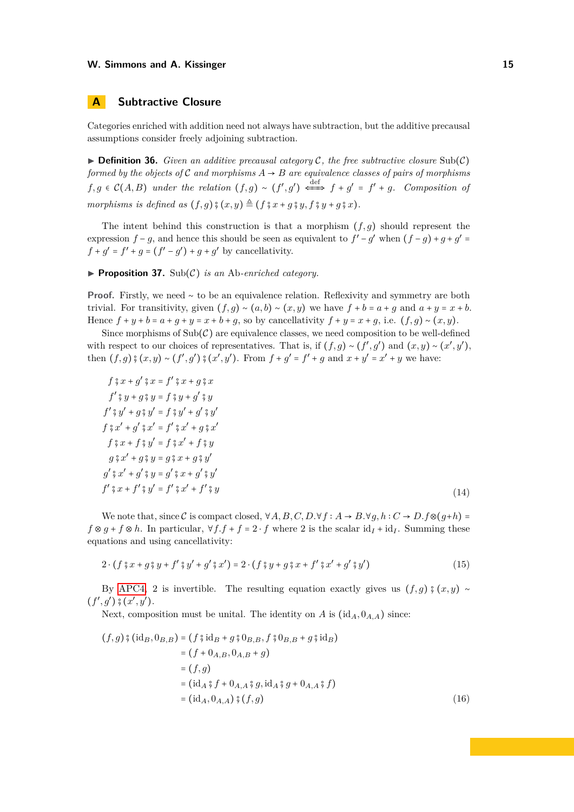#### **W. Simmons and A. Kissinger 15** and the state of the state of the state of the state of the state of the state of the state of the state of the state of the state of the state of the state of the state of the state of the

### <span id="page-14-0"></span>**A Subtractive Closure**

Categories enriched with addition need not always have subtraction, but the additive precausal assumptions consider freely adjoining subtraction.

 $\triangleright$  **Definition 36.** *Given an additive precausal category C*, the free subtractive closure Sub(C) *formed by the objects of*  $C$  *and morphisms*  $A \rightarrow B$  *are equivalence classes of pairs of morphisms*  $f, g \in C(A, B)$  *under the relation*  $(f, g) \sim (f', g') \iff f + g' = f' + g$ . Composition of *morphisms is defined as*  $(f, g)$  ;  $(x, y) \triangleq (f \cdot x + g \cdot y, f \cdot y + g \cdot x)$ .

The intent behind this construction is that a morphism (*f, g*) should represent the expression  $f - g$ , and hence this should be seen as equivalent to  $f' - g'$  when  $(f - g) + g + g' =$  $f + g' = f' + g = (f' - g') + g + g'$  by cancellativity.

▶ **Proposition 37.** Sub(C) *is an Ab-enriched category.* 

Proof. Firstly, we need ∼ to be an equivalence relation. Reflexivity and symmetry are both trivial. For transitivity, given  $(f, g) \sim (a, b) \sim (x, y)$  we have  $f + b = a + g$  and  $a + y = x + b$ . Hence  $f + y + b = a + g + y = x + b + g$ , so by cancellativity  $f + y = x + g$ , i.e.  $(f, g) \sim (x, y)$ .

Since morphisms of  $\text{Sub}(\mathcal{C})$  are equivalence classes, we need composition to be well-defined with respect to our choices of representatives. That is, if  $(f, g) \sim (f', g')$  and  $(x, y) \sim (x', y')$ , then  $(f, g) \frac{2}{7}(x, y) \sim (f', g') \frac{2}{7}(x', y')$ . From  $f + g' = f' + g$  and  $x + y' = x' + y$  we have:

$$
f \hat{g} x + g' \hat{g} x = f' \hat{g} x + g \hat{g} x
$$
  
\n
$$
f' \hat{g} y + g \hat{g} y = f \hat{g} y + g' \hat{g} y
$$
  
\n
$$
f' \hat{g} y' + g \hat{g} y' = f \hat{g} y' + g' \hat{g} y'
$$
  
\n
$$
f \hat{g} x' + g' \hat{g} x' = f' \hat{g} x' + g \hat{g} x'
$$
  
\n
$$
f \hat{g} x + f \hat{g} y' = f \hat{g} x' + f \hat{g} y
$$
  
\n
$$
g \hat{g} x' + g \hat{g} y = g \hat{g} x + g \hat{g} y'
$$
  
\n
$$
g' \hat{g} x' + g' \hat{g} y = g' \hat{g} x + g' \hat{g} y'
$$
  
\n
$$
f' \hat{g} x + f' \hat{g} y' = f' \hat{g} x' + f' \hat{g} y
$$
  
\n
$$
(14)
$$

We note that, since C is compact closed,  $\forall A, B, C, D.\forall f : A \rightarrow B.\forall g, h : C \rightarrow D.f \otimes (g+h) =$  $f \otimes g + f \otimes h$ . In particular,  $\forall f \cdot f + f = 2 \cdot f$  where 2 is the scalar  $id_I + id_I$ . Summing these equations and using cancellativity:

$$
2 \cdot (f \circ x + g \circ y + f' \circ y' + g' \circ x') = 2 \cdot (f \circ y + g \circ x + f' \circ x' + g' \circ y') \tag{15}
$$

By [APC4,](#page-5-2) 2 is invertible. The resulting equation exactly gives us  $(f, q)$  ;  $(x, y) \sim$  $(f', g')$   $\frac{6}{7}(x', y').$ 

Next, composition must be unital. The identity on *A* is  $(id_A, 0_{A,A})$  since:

$$
(f,g) \, \hat{\mathfrak{s}} \, (\mathrm{id}_B, 0_{B,B}) = (f \, \hat{\mathfrak{s}} \, \mathrm{id}_B + g \, \hat{\mathfrak{s}} \, 0_{B,B}, f \, \hat{\mathfrak{s}} \, 0_{B,B} + g \, \hat{\mathfrak{s}} \, \mathrm{id}_B) = (f + 0_{A,B}, 0_{A,B} + g) = (f,g) = (\mathrm{id}_A \, \hat{\mathfrak{s}} \, f + 0_{A,A} \, \hat{\mathfrak{s}} \, g, \mathrm{id}_A \, \hat{\mathfrak{s}} \, g + 0_{A,A} \, \hat{\mathfrak{s}} \, f) = (\mathrm{id}_A, 0_{A,A}) \, \hat{\mathfrak{s}} \, (f,g)
$$
 (16)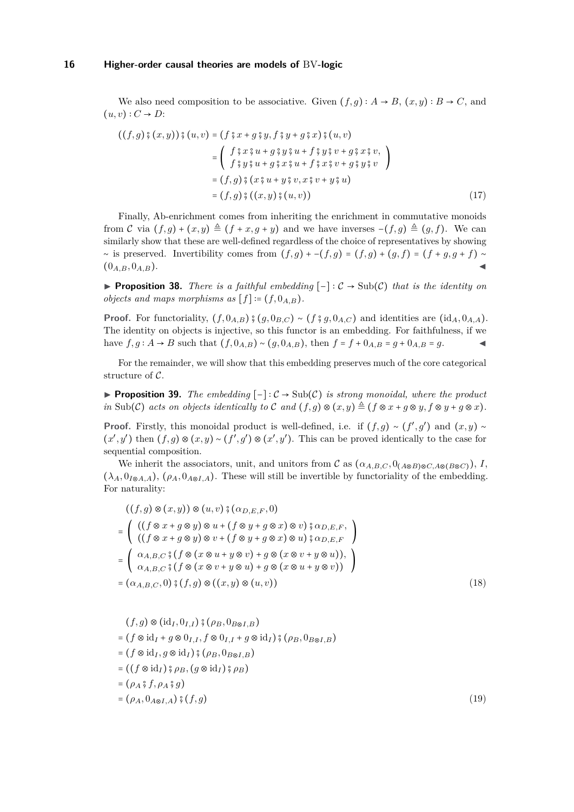We also need composition to be associative. Given  $(f, g) : A \rightarrow B$ ,  $(x, y) : B \rightarrow C$ , and  $(u, v) : C \rightarrow D$ :

$$
((f,g)\, \hat{ }\, (x,y))\, \hat{ }\, (u,v) = (f\, \hat{ }\, x + g\, \hat{ }\, y, f\, \hat{ }\, y + g\, \hat{ }\, x\, )\, \hat{ }\, (u,v) = \begin{pmatrix} f\, \hat{ }\, x\, \hat{ }\, u + g\, \hat{ }\, y\, \hat{ }\, u + f\, \hat{ }\, y\, \hat{ }\, v + g\, \hat{ }\, x\, \hat{ }\, v \, v \, , \\ f\, \hat{ }\, y\, \hat{ }\, u + g\, \hat{ }\, x\, \hat{ }\, u + f\, \hat{ }\, x\, \hat{ }\, v + g\, \hat{ }\, y\, \hat{ }\, v \, v \, , \\ f\, \hat{ }\, y\, \hat{ }\, u + g\, \hat{ }\, x\, \hat{ }\, u + f\, \hat{ }\, x\, \hat{ }\, v + g\, \hat{ }\, y\, \hat{ }\, v \, v \, \end{pmatrix} = (f,g)\, \hat{ }\, (x\, \hat{ }\, u + y\, \hat{ }\, v\, x\, \hat{ }\, v + y\, \hat{ }\, u )
$$
(17)

Finally, Ab-enrichment comes from inheriting the enrichment in commutative monoids from C via  $(f, g) + (x, y) \triangleq (f + x, g + y)$  and we have inverses  $-(f, g) \triangleq (g, f)$ . We can similarly show that these are well-defined regardless of the choice of representatives by showing ~ is preserved. Invertibility comes from  $(f,g)$  +  $-(f,g)$  =  $(f,g)$  +  $(g,f)$  =  $(f+g,g+f)$  ~  $(0_{A,B}, 0_{A,B})$ .

**► Proposition 38.** There is a faithful embedding  $\lceil - \rceil$ :  $C \rightarrow Sub(C)$  that is the identity on *objects and maps morphisms as*  $[f] := (f, 0_{A,B})$ .

**Proof.** For functoriality,  $(f, 0_{A,B})$  ;  $(g, 0_{B,C}) \sim (f, g, 0_{A,C})$  and identities are  $(id_A, 0_{A,A})$ . The identity on objects is injective, so this functor is an embedding. For faithfulness, if we have *f, g* ∶ *A* → *B* such that  $(f, 0_{A,B}) \sim (g, 0_{A,B})$ , then  $f = f + 0_{A,B} = g + 0_{A,B} = g$ .

For the remainder, we will show that this embedding preserves much of the core categorical structure of C.

I **Proposition 39.** *The embedding* [−] ∶ C → Sub(C) *is strong monoidal, where the product in* Sub(C) acts on objects identically to C and  $(f, q) \otimes (x, y) \triangleq (f \otimes x + q \otimes y, f \otimes y + q \otimes x)$ .

**Proof.** Firstly, this monoidal product is well-defined, i.e. if  $(f, g) \sim (f', g')$  and  $(x, y) \sim$  $(x', y')$  then  $(f, g) \otimes (x, y) \sim (f', g') \otimes (x', y')$ . This can be proved identically to the case for sequential composition.

We inherit the associators, unit, and unitors from C as  $(\alpha_{A,B,C}, 0_{(A \otimes B) \otimes C, A \otimes (B \otimes C)})$ , *I*,  $(\lambda_A, 0_{I\otimes A,A}), (\rho_A, 0_{A\otimes I,A}).$  These will still be invertible by functoriality of the embedding. For naturality:

$$
((f,g)\otimes(x,y))\otimes(u,v)\xi(\alpha_{D,E,F},0)
$$
  
= 
$$
\begin{pmatrix} ((f\otimes x+g\otimes y)\otimes u+(f\otimes y+g\otimes x)\otimes v)\xi\alpha_{D,E,F}, \\ ((f\otimes x+g\otimes y)\otimes v+(f\otimes y+g\otimes x)\otimes u)\xi\alpha_{D,E,F} \end{pmatrix}
$$
  
= 
$$
\begin{pmatrix} \alpha_{A,B,C}\xi(f\otimes(x\otimes u+y\otimes v)+g\otimes(x\otimes v+y\otimes u)), \\ \alpha_{A,B,C}\xi(f\otimes(x\otimes v+y\otimes u)+g\otimes(x\otimes u+y\otimes v)) \end{pmatrix}
$$
  
= 
$$
(\alpha_{A,B,C},0)\xi(f,g)\otimes((x,y)\otimes(u,v))
$$
(18)

$$
(f,g) \otimes (\mathrm{id}_I, 0_{I,I}) \circ (\rho_B, 0_{B \otimes I,B})
$$
  
=  $(f \otimes \mathrm{id}_I + g \otimes 0_{I,I}, f \otimes 0_{I,I} + g \otimes \mathrm{id}_I) \circ (\rho_B, 0_{B \otimes I,B})$   
=  $(f \otimes \mathrm{id}_I, g \otimes \mathrm{id}_I) \circ (\rho_B, 0_{B \otimes I,B})$   
=  $((f \otimes \mathrm{id}_I) \circ \rho_B, (g \otimes \mathrm{id}_I) \circ \rho_B)$   
=  $(\rho_A \circ f, \rho_A \circ g)$   
=  $(\rho_A, 0_{A \otimes I,A}) \circ (f,g)$  (19)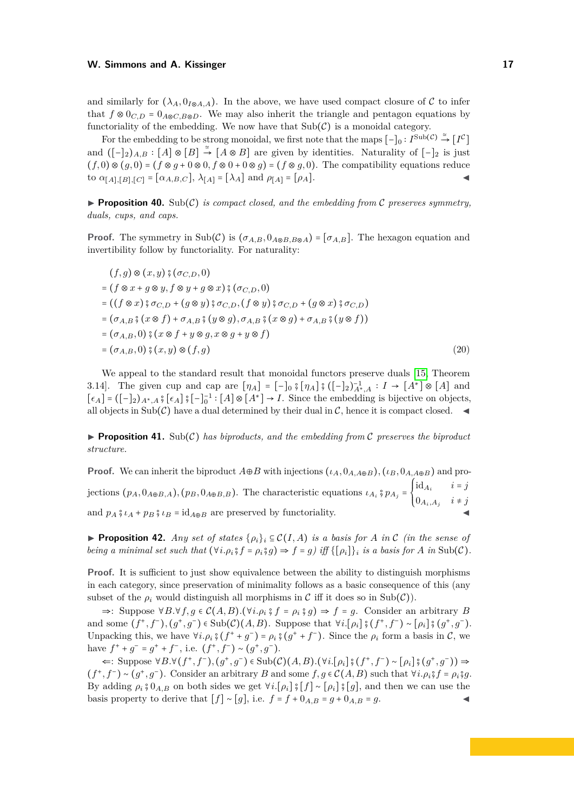#### **W. Simmons and A. Kissinger 17** and the state of the state of the state of the state of the state of the state of the state of the state of the state of the state of the state of the state of the state of the state of the

and similarly for  $(\lambda_A, 0_{I\otimes A,A})$ . In the above, we have used compact closure of C to infer that  $f \otimes 0_{C,D} = 0_{A \otimes C, B \otimes D}$ . We may also inherit the triangle and pentagon equations by functoriality of the embedding. We now have that  $\text{Sub}(\mathcal{C})$  is a monoidal category.

For the embedding to be strong monoidal, we first note that the maps  $[-]_0 : I^{\text{Sub}(\mathcal{C})} \overset{\simeq}{\to} [I^{\mathcal{C}}]$ and  $([-]_2)_{A,B} : [A] \otimes [B] \stackrel{\simeq}{\to} [A \otimes B]$  are given by identities. Naturality of  $[-]_2$  is just  $(f,0) \otimes (g,0) = (f \otimes g + 0 \otimes 0, f \otimes 0 + 0 \otimes g) = (f \otimes g,0)$ . The compatibility equations reduce to  $\alpha_{[A],[B],[C]} = [\alpha_{A,B,C}], \lambda_{[A]} = [\lambda_A]$  and  $\rho_{[A]} = [\rho_A].$ 

**Proposition 40.** Sub(C) *is compact closed, and the embedding from* C *preserves symmetry, duals, cups, and caps.*

**Proof.** The symmetry in Sub(C) is  $(\sigma_{A,B}, 0_{A\otimes B, B\otimes A}) = [\sigma_{A,B}]$ . The hexagon equation and invertibility follow by functoriality. For naturality:

$$
(f,g) \otimes (x,y) \mathfrak{f} (\sigma_{C,D},0)
$$
  
\n
$$
= (f \otimes x + g \otimes y, f \otimes y + g \otimes x) \mathfrak{f} (\sigma_{C,D},0)
$$
  
\n
$$
= ((f \otimes x) \mathfrak{f} \sigma_{C,D} + (g \otimes y) \mathfrak{f} \sigma_{C,D}, (f \otimes y) \mathfrak{f} \sigma_{C,D} + (g \otimes x) \mathfrak{f} \sigma_{C,D})
$$
  
\n
$$
= (\sigma_{A,B} \mathfrak{f} (x \otimes f) + \sigma_{A,B} \mathfrak{f} (y \otimes g), \sigma_{A,B} \mathfrak{f} (x \otimes g) + \sigma_{A,B} \mathfrak{f} (y \otimes f))
$$
  
\n
$$
= (\sigma_{A,B},0) \mathfrak{f} (x \otimes f + y \otimes g, x \otimes g + y \otimes f)
$$
  
\n
$$
= (\sigma_{A,B},0) \mathfrak{f} (x,y) \otimes (f,g)
$$
 (20)

We appeal to the standard result that monoidal functors preserve duals [\[15,](#page-13-14) Theorem 3.14]. The given cup and cap are  $[\eta_A] = [-]_0 \S [\eta_A] \S ([-]_2)^{-1}_{A^*,A} : I \to [A^*] \otimes [A]$  and  $[\epsilon_A] = ([-]_2)_A *_{A}$   $[\epsilon_A]$   $[\epsilon_{A}]$   $[\epsilon_{A}]$   $[\epsilon_{A}]$   $[\epsilon_{A}]$   $[\epsilon_{A}]$   $[\epsilon_{A}]$   $[\epsilon_{A}]$   $[\epsilon_{A}]$   $[\epsilon_{A}]$   $[\epsilon_{A}]$   $[\epsilon_{A}]$   $[\epsilon_{A}]$   $[\epsilon_{A}]$   $[\epsilon_{A}]$   $[\epsilon_{A}]$   $[\epsilon_{A}]$   $[\epsilon_{A}]$   $[\epsilon_{A}]$   $[\epsilon_{A}]$   $[\epsilon_{A}]$   $[\epsilon_{A}]$   $[\epsilon_{A}]$   $[\epsilon_{A}]$   $[\epsilon_{A}]$   $[\epsilon$ all objects in  $\text{Sub}(\mathcal{C})$  have a dual determined by their dual in  $\mathcal{C}$ , hence it is compact closed.

**Proposition 41.** Sub( $C$ ) has biproducts, and the embedding from C preserves the biproduct *structure.*

**Proof.** We can inherit the biproduct  $A \oplus B$  with injections  $(\iota_A, 0_{A, A \oplus B})$ ,  $(\iota_B, 0_{A, A \oplus B})$  and projections  $(p_A, 0_{A\oplus B,A})$ ,  $(p_B, 0_{A\oplus B,B})$ . The characteristic equations  $\iota_{A_i}$   $\gamma_{A_j}$  =  $\left( \frac{1}{\sqrt{2\pi}} \right)$ id<sub>*A<sub>i</sub>*  $i = j$ </sub>  $0_{A_i, A_j}$   $i \neq j$ and  $p_A \hat{p}_A + p_B \hat{p}_B = id_{A \oplus B}$  are preserved by functoriality.

<span id="page-16-0"></span>**► Proposition 42.** *Any set of states*  $\{\rho_i\}_i$  ⊆  $\mathcal{C}(I, A)$  *is a basis for A in*  $\mathcal{C}$  *(in the sense of being a minimal set such that*  $(\forall i.\rho_i \, \hat{ } \, f = \rho_i \, \hat{ } \, g) \Rightarrow f = g$  *iff*  $\{[\rho_i]\}_i$  *is a basis for A in* Sub(*C*).

**Proof.** It is sufficient to just show equivalence between the ability to distinguish morphisms in each category, since preservation of minimality follows as a basic consequence of this (any subset of the  $\rho_i$  would distinguish all morphisms in C iff it does so in Sub(C)).

 $\Rightarrow$ : Suppose ∀*B*.∀*f*, *g*  $\in$  C(*A, B*).(∀*i.p*<sub>i</sub>  $\circ$  *f* = *p*<sub>i</sub>  $\circ$  *g*)  $\Rightarrow$  *f* = *g*. Consider an arbitrary *B* and some  $(f^+, f^-)$ ,  $(g^+, g^-) \in \text{Sub}(\mathcal{C})(A, B)$ . Suppose that  $\forall i. [\rho_i] \, \mathfrak{z} (f^+, f^-) \sim [\rho_i] \, \mathfrak{z} (g^+, g^-)$ .<br>Unnecking this we have  $\forall i \in \mathfrak{z} (f^+, f^-)$ ,  $\mathfrak{z} \mathfrak{z} (g^+, f^-)$ . Since the summarized in  $\mathcal{C}$  was Unpacking this, we have  $\forall i.\rho_i$ ;  $\circ$  ( $f^+ + g^-$ ) =  $\rho_i$ ;  $\circ$  ( $g^+ + f^-$ ). Since the  $\rho_i$  form a basis in C, we have  $f^+ + g^- = g^+ + f^-$ , i.e.  $(f^+, f^-) \sim (g^+, g^-)$ .

 $\Leftarrow$ : Suppose ∀*B*.∀(*f*<sup>+</sup>, *f*<sup>−</sup>), (*g*<sup>+</sup>, *g*<sup>−</sup>)  $\in$  Sub(*C*)(*A*, *B*). (∀*i*.[ $\rho_i$ ]  $\in$   $f$ <sub>*i*</sub> $\in$   $\cap$   $(\rho_i)$  $\in$   $g$   $(g^+, g^-)$ )  $\Rightarrow$  $(f^+, f^-) \sim (g^+, g^-)$ . Consider an arbitrary *B* and some *f, g* ∈ C(*A, B*) such that ∀*i.ρ*<sub>i</sub><sup>§</sup>*f* = *ρ*<sub>i</sub>§*g*. By adding  $\rho_i$ ;  $\partial_{A,B}$  on both sides we get  $\forall i. [\rho_i]$ ;  $[f] \sim [\rho_i]$ ;  $[g]$ , and then we can use the basis property to derive that  $[f] \sim [g]$ , i.e.  $f = f + 0_{A,B} = g + 0_{A,B} = g$ .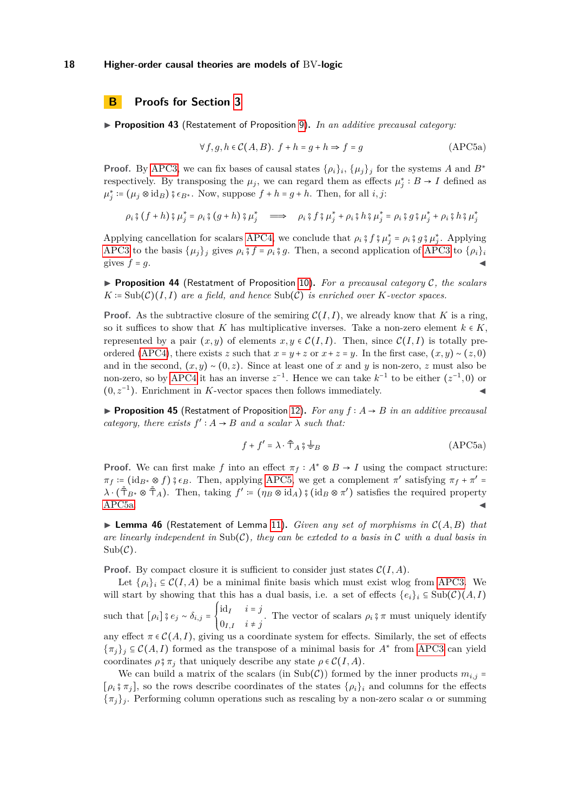### **B Proofs for Section [3](#page-4-1)**

▶ **Proposition 43** (Restatement of Proposition [9\)](#page-5-5). *In an additive precausal category:* 

$$
\forall f, g, h \in \mathcal{C}(A, B). \ f + h = g + h \Rightarrow f = g \tag{APC5a}
$$

**Proof.** By [APC3,](#page-5-1) we can fix bases of causal states  $\{\rho_i\}_i$ ,  $\{\mu_j\}_j$  for the systems *A* and *B*<sup>\*</sup> respectively. By transposing the  $\mu_j$ , we can regard them as effects  $\mu_j^* : B \to I$  defined as  $\mu_j^* := (\mu_j \otimes id_B) \circ \epsilon_{B^*}$ . Now, suppose  $f + h = g + h$ . Then, for all *i*, *j*:

$$
\rho_i \S(f+h) \S \mu_j^* = \rho_i \S(g+h) \S \mu_j^* \implies \rho_i \S f \S \mu_j^* + \rho_i \S h \S \mu_j^* = \rho_i \S g \S \mu_j^* + \rho_i \S h \S \mu_j^*
$$

Applying cancellation for scalars [APC4,](#page-5-2) we conclude that  $\rho_i \, \hat{\theta} \, f \, \hat{\theta} \, \mu_j^* = \rho_i \, \hat{\theta} \, g \, \hat{\theta} \, \mu_j^*$ . Applying [APC3](#page-5-1) to the basis  $\{\mu_j\}_j$  gives  $\rho_i \, \hat{\zeta} f = \rho_i \, \hat{\zeta} g$ . Then, a second application of [APC3](#page-5-1) to  $\{\rho_i\}_i$  gives  $f = g$ . gives  $f = g$ .

▶ **Proposition 44** (Restatment of Proposition [10\)](#page-5-6). *For a precausal category* C, the scalars  $K \coloneqq \mathrm{Sub}(\mathcal{C})(I, I)$  *are a field, and hence*  $\mathrm{Sub}(\mathcal{C})$  *is enriched over K-vector spaces.* 

**Proof.** As the subtractive closure of the semiring  $C(I, I)$ , we already know that *K* is a ring, so it suffices to show that *K* has multiplicative inverses. Take a non-zero element  $k \in K$ , represented by a pair  $(x, y)$  of elements  $x, y \in C(I, I)$ . Then, since  $C(I, I)$  is totally pre-ordered [\(APC4\)](#page-5-2), there exists *z* such that  $x = y + z$  or  $x + z = y$ . In the first case,  $(x, y) \sim (z, 0)$ and in the second,  $(x, y) \sim (0, z)$ . Since at least one of x and y is non-zero, z must also be non-zero, so by [APC4](#page-5-2) it has an inverse  $z^{-1}$ . Hence we can take  $k^{-1}$  to be either  $(z^{-1},0)$  or  $(0, z^{-1})$ . Enrichment in *K*-vector spaces then follows immediately.

I **Proposition 45** (Restatment of Proposition [12\)](#page-6-2)**.** *For any f* ∶ *A* → *B in an additive precausal category, there exists*  $f': A \rightarrow B$  *and a scalar*  $\lambda$  *such that:* 

<span id="page-17-0"></span>
$$
f + f' = \lambda \cdot \bar{\bar{\tau}}_A \, \mathfrak{s} \stackrel{\perp}{=} B \tag{APC5a}
$$

**Proof.** We can first make *f* into an effect  $\pi_f : A^* \otimes B \to I$  using the compact structure:  $\pi_f := (\text{id}_{B^*} \otimes f) \circ \epsilon_B$ . Then, applying [APC5,](#page-5-3) we get a complement  $\pi'$  satisfying  $\pi_f + \pi' =$  $\lambda \cdot (\bar{\bar{\tau}}_{B^*} \otimes \bar{\bar{\tau}}_A)$ . Then, taking  $f' \coloneqq (\eta_B \otimes id_A) \circ (\mathrm{id}_B \otimes \pi')$  satisfies the required property  $APC5a.$ 

 $\blacktriangleright$  **Lemma 46** (Restatement of Lemma [11\)](#page-5-4). *Given any set of morphisms in*  $C(A, B)$  *that are linearly independent in* Sub(C)*, they can be exteded to a basis in* C *with a dual basis in*  $Sub(\mathcal{C})$ .

**Proof.** By compact closure it is sufficient to consider just states  $C(I, A)$ .

Let  $\{\rho_i\}_i \subseteq \mathcal{C}(I, A)$  be a minimal finite basis which must exist wlog from [APC3.](#page-5-1) We will start by showing that this has a dual basis, i.e. a set of effects  $\{e_i\}_i \subseteq \text{Sub}(\mathcal{C})(A, I)$ such that  $[\rho_i]$   $\circ \rho_j \sim \delta_{i,j}$  =  $\begin{cases} \frac{1}{\sqrt{2\pi}} & \text{if } 0 \leq x \leq 1 \\ \frac{1}{\sqrt{2\pi}} & \text{if } 0 \leq x \leq 1 \end{cases}$ id<sub>*I*</sub>  $i = j$  $\frac{\partial}{\partial q}$ . The vector of scalars  $\rho_i \hat{g} \pi$  must uniquely identify  $\frac{\partial}{\partial q}$ . any effect  $\pi \in \mathcal{C}(A, I)$ , giving us a coordinate system for effects. Similarly, the set of effects  ${\lbrace \pi_j \rbrace_j \subseteq C(A,I) \text{ formed as the transpose of a minimal basis for } A^* \text{ from APC3 can yield}$  ${\lbrace \pi_j \rbrace_j \subseteq C(A,I) \text{ formed as the transpose of a minimal basis for } A^* \text{ from APC3 can yield}$  ${\lbrace \pi_j \rbrace_j \subseteq C(A,I) \text{ formed as the transpose of a minimal basis for } A^* \text{ from APC3 can yield}$ coordinates  $\rho \circ \pi_i$  that uniquely describe any state  $\rho \in \mathcal{C}(I, A)$ .

We can build a matrix of the scalars (in  $\text{Sub}(\mathcal{C})$ ) formed by the inner products  $m_{i,j}$  $[\rho_i; \pi_j]$ , so the rows describe coordinates of the states  $\{\rho_i\}_i$  and columns for the effects  ${\lbrace \pi_j \rbrace_j}$ . Performing column operations such as rescaling by a non-zero scalar *α* or summing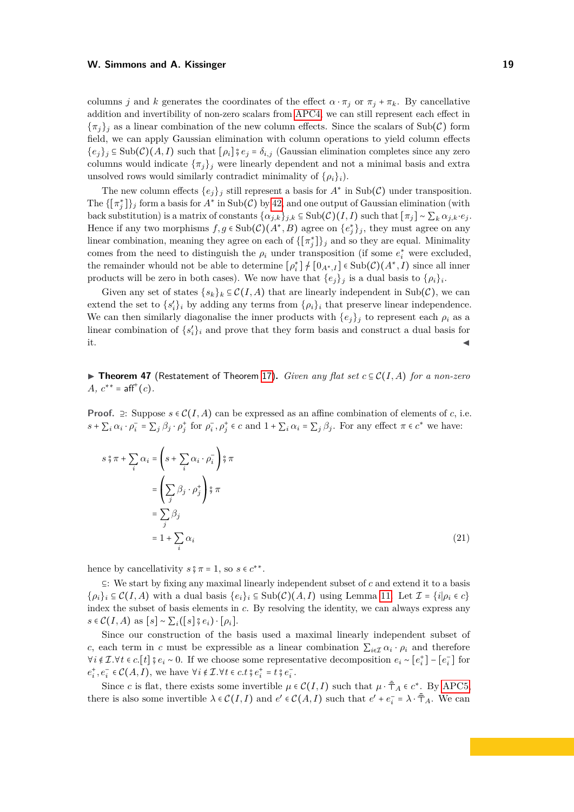#### **W. Simmons and A. Kissinger 19** and the state of the state of the state of the state of the state of the state of the state of the state of the state of the state of the state of the state of the state of the state of the

columns *j* and *k* generates the coordinates of the effect  $\alpha \cdot \pi_j$  or  $\pi_j + \pi_k$ . By cancellative addition and invertibility of non-zero scalars from [APC4,](#page-5-2) we can still represent each effect in  $\{\pi_i\}_i$  as a linear combination of the new column effects. Since the scalars of Sub(C) form field, we can apply Gaussian elimination with column operations to yield column effects  ${e_j}_j \subseteq Sub(\mathcal{C})(A, I)$  such that  $[\rho_i]$   $\hat{e}_j = \delta_{i,j}$  (Gaussian elimination completes since any zero columns would indicate  $\{\pi_i\}_i$  were linearly dependent and not a minimal basis and extra unsolved rows would similarly contradict minimality of  $\{\rho_i\}_i$ .

The new column effects  $\{e_j\}_j$  still represent a basis for  $A^*$  in  $\text{Sub}(\mathcal{C})$  under transposition. The  $\{\lceil \pi_j^* \rceil \}_j$  form a basis for  $A^*$  in  $\text{Sub}(\mathcal{C})$  by [42,](#page-16-0) and one output of Gaussian elimination (with back substitution) is a matrix of constants  $\{\alpha_{j,k}\}_{j,k} \subseteq \text{Sub}(\mathcal{C})(I,I)$  such that  $[\pi_j] \sim \sum_k \alpha_{j,k} \cdot e_j$ . Hence if any two morphisms  $f, g \in Sub(\mathcal{C})(A^*, B)$  agree on  $\{e_j^*\}_j$ , they must agree on any linear combination, meaning they agree on each of  $\{\lceil \pi_j^* \rceil\}_j$  and so they are equal. Minimality comes from the need to distinguish the  $\rho_i$  under transposition (if some  $e_i^*$  were excluded, the remainder whould not be able to determine  $[\rho_i^*] \neq [0_{A^*,I}] \in Sub(\mathcal{C})(A^*,I)$  since all inner products will be zero in both cases). We now have that  $\{e_j\}_j$  is a dual basis to  $\{\rho_i\}_i$ .

Given any set of states  $\{s_k\}_k \subseteq C(I, A)$  that are linearly independent in Sub(C), we can extend the set to  $\{s_i'\}_i$  by adding any terms from  $\{\rho_i\}_i$  that preserve linear independence. We can then similarly diagonalise the inner products with  $\{e_j\}_j$  to represent each  $\rho_i$  as a linear combination of  $\{s_i'\}_i$  and prove that they form basis and construct a dual basis for it.

I **Theorem 47** (Restatement of Theorem [17\)](#page-7-2)**.** *Given any flat set c* ⊆ C(*I, A*) *for a non-zero*  $A, c^{**} = \text{aff}^+(c)$ *.* 

**Proof.** ⊇: Suppose  $s \in \mathcal{C}(I, A)$  can be expressed as an affine combination of elements of *c*, i.e.  $s + \sum_i \alpha_i \cdot \rho_i^- = \sum_j \beta_j \cdot \rho_j^+$  for  $\rho_i^-$ ,  $\rho_j^+ \in c$  and  $1 + \sum_i \alpha_i = \sum_j \beta_j$ . For any effect  $\pi \in c^*$  we have:

$$
s \circ \pi + \sum_{i} \alpha_{i} = \left(s + \sum_{i} \alpha_{i} \cdot \rho_{i}^{-}\right) \circ \pi
$$
  

$$
= \left(\sum_{j} \beta_{j} \cdot \rho_{j}^{+}\right) \circ \pi
$$
  

$$
= \sum_{j} \beta_{j}
$$
  

$$
= 1 + \sum_{i} \alpha_{i}
$$
 (21)

hence by cancellativity  $s \hat{g} \pi = 1$ , so  $s \in c^{**}$ .

⊆: We start by fixing any maximal linearly independent subset of *c* and extend it to a basis  $\{\rho_i\}_i \subseteq C(I, A)$  with a dual basis  $\{e_i\}_i \subseteq \text{Sub}(C)(A, I)$  using Lemma [11.](#page-5-4) Let  $\mathcal{I} = \{i | \rho_i \in c\}$ index the subset of basis elements in *c*. By resolving the identity, we can always express any *s* ∈  $\mathcal{C}(I, A)$  as  $[s] \sim \sum_i ([s] \, \hat{\mathbf{z}} \, e_i) \cdot [\rho_i].$ 

Since our construction of the basis used a maximal linearly independent subset of *c*, each term in *c* must be expressible as a linear combination  $\sum_{i \in \mathcal{I}} \alpha_i \cdot \rho_i$  and therefore  $\forall i \notin I$ .  $\forall t \in c$ . [*t*]  $\exists e_i \sim 0$ . If we choose some representative decomposition  $e_i \sim [e_i^+] - [e_i^-]$  for  $e_i^+, e_i^- \in C(A, I)$ , we have  $\forall i \notin I$ .  $\forall t \in c \ldotp t \; \hat{\imath} \; e_i^+ = t \; \hat{\imath} \; e_i^-$ .

Since *c* is flat, there exists some invertible  $\mu \in C(I, I)$  such that  $\mu \cdot \bar{\bar{\tau}}_A \in c^*$ . By [APC5,](#page-5-3) there is also some invertible  $\lambda \in C(I, I)$  and  $e' \in C(A, I)$  such that  $e' + e_i^- = \lambda \cdot \overline{\overline{T}}_A$ . We can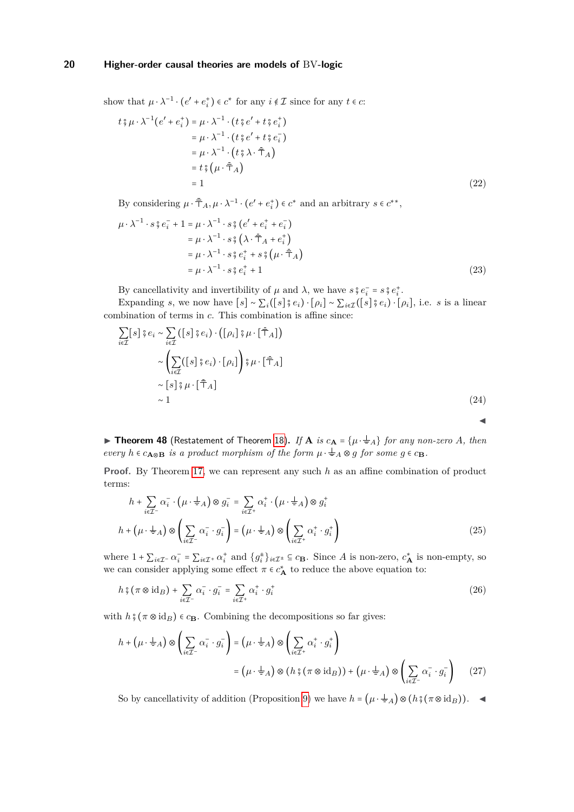show that  $\mu \cdot \lambda^{-1} \cdot (e' + e_i^+) \in c^*$  for any  $i \notin \mathcal{I}$  since for any  $t \in c$ :

$$
t \, \mathfrak{z} \, \mu \cdot \lambda^{-1} \big( e' + e_i^+ \big) = \mu \cdot \lambda^{-1} \cdot \big( t \, \mathfrak{z} \, e' + t \, \mathfrak{z} \, e_i^+ \big) = \mu \cdot \lambda^{-1} \cdot \big( t \, \mathfrak{z} \, e' + t \, \mathfrak{z} \, e_i^- \big) = \mu \cdot \lambda^{-1} \cdot \big( t \, \mathfrak{z} \, \lambda \cdot \bar{\bar{\top}}_A \big) = t \, \mathfrak{z} \, \big( \mu \cdot \bar{\bar{\top}}_A \big) = 1
$$
 (22)

By considering  $\mu \cdot \bar{\bar{\tau}}_A, \mu \cdot \lambda^{-1} \cdot (e' + e_i^+) \in c^*$  and an arbitrary  $s \in c^{**}$ ,

$$
\mu \cdot \lambda^{-1} \cdot s \circ e_i^- + 1 = \mu \cdot \lambda^{-1} \cdot s \circ (e' + e_i^+ + e_i^-)
$$
  
\n
$$
= \mu \cdot \lambda^{-1} \cdot s \circ (\lambda \cdot \bar{\top}_A + e_i^+)
$$
  
\n
$$
= \mu \cdot \lambda^{-1} \cdot s \circ e_i^+ + s \circ (\mu \cdot \bar{\top}_A)
$$
  
\n
$$
= \mu \cdot \lambda^{-1} \cdot s \circ e_i^+ + 1
$$
\n(23)

By cancellativity and invertibility of  $\mu$  and  $\lambda$ , we have  $s \, \hat{\zeta} \, e_i^- = s \, \hat{\zeta} \, e_i^+$ .

Expanding *s*, we now have  $[s] \sim \sum_i ([s] \hat{s} e_i) \cdot [p_i] \sim \sum_{i \in \mathcal{I}} ([s] \hat{s} e_i) \cdot [p_i]$ , i.e. *s* is a linear combination of terms in *c*. This combination is affine since:

$$
\sum_{i \in \mathcal{I}} [s] \S e_i \sim \sum_{i \in \mathcal{I}} ([s] \S e_i) \cdot ([\rho_i] \S \mu \cdot [\bar{\bar{\tau}}_A])
$$
  
\$\sim \left( \sum\_{i \in \mathcal{I}} ([s] \S e\_i) \cdot [\rho\_i] \right) \S \mu \cdot [\bar{\bar{\tau}}\_A] \$  
\$\sim [s] \S \mu \cdot [\bar{\bar{\tau}}\_A] \$  
\$\sim 1\$ (24)

 $\blacktriangleleft$ 

**► Theorem 48** (Restatement of Theorem [18\)](#page-7-3). If **A** is  $c_{\bf A} = \{ \mu \cdot \frac{1}{2} A \}$  for any non-zero A, then *every*  $h \in c_{\mathbf{A} \otimes \mathbf{B}}$  *is a product morphism of the form*  $\mu \cdot \frac{1}{\pm} \mathbf{A} \otimes g$  *for some*  $g \in c_{\mathbf{B}}$ *.* 

**Proof.** By Theorem [17,](#page-7-2) we can represent any such h as an affine combination of product terms:

$$
h + \sum_{i \in \mathcal{I}^-} \alpha_i^- \cdot (\mu \cdot \pm_A) \otimes g_i^- = \sum_{i \in \mathcal{I}^+} \alpha_i^+ \cdot (\mu \cdot \pm_A) \otimes g_i^+
$$
  

$$
h + (\mu \cdot \pm_A) \otimes \left(\sum_{i \in \mathcal{I}^-} \alpha_i^- \cdot g_i^-\right) = (\mu \cdot \pm_A) \otimes \left(\sum_{i \in \mathcal{I}^+} \alpha_i^+ \cdot g_i^+\right)
$$
(25)

where  $1 + \sum_{i \in \mathcal{I}^-} \alpha_i^- = \sum_{i \in \mathcal{I}^+} \alpha_i^+$  and  $\{g_i^{\pm}\}_{i \in \mathcal{I}^{\pm}} \subseteq c_{\mathbf{B}}$ . Since *A* is non-zero,  $c_{\mathbf{A}}^*$  is non-empty, so we can consider applying some effect  $\pi \in c^*_{\mathbf{A}}$  to reduce the above equation to:

$$
h \, \mathcal{E} \left( \pi \otimes \mathrm{id}_B \right) + \sum_{i \in \mathcal{I}^-} \alpha_i^- \cdot g_i^- = \sum_{i \in \mathcal{I}^+} \alpha_i^+ \cdot g_i^+ \tag{26}
$$

with  $h \circ (\pi \otimes id_B) \in c$ **B**. Combining the decompositions so far gives:

$$
h + (\mu \cdot \pm_A) \otimes \left(\sum_{i \in \mathcal{I}^-} \alpha_i^- \cdot g_i^-\right) = (\mu \cdot \pm_A) \otimes \left(\sum_{i \in \mathcal{I}^+} \alpha_i^+ \cdot g_i^+\right)
$$

$$
= (\mu \cdot \pm_A) \otimes (h \circ (\pi \otimes id_B)) + (\mu \cdot \pm_A) \otimes \left(\sum_{i \in \mathcal{I}^-} \alpha_i^- \cdot g_i^-\right) \qquad (27)
$$

So by cancellativity of addition (Proposition [9\)](#page-5-5) we have *<sup>h</sup>* <sup>=</sup> (*<sup>µ</sup>* <sup>⋅</sup> *<sup>A</sup>*)⊗(*h*# (*<sup>π</sup>* <sup>⊗</sup>id*B*)). <sup>J</sup>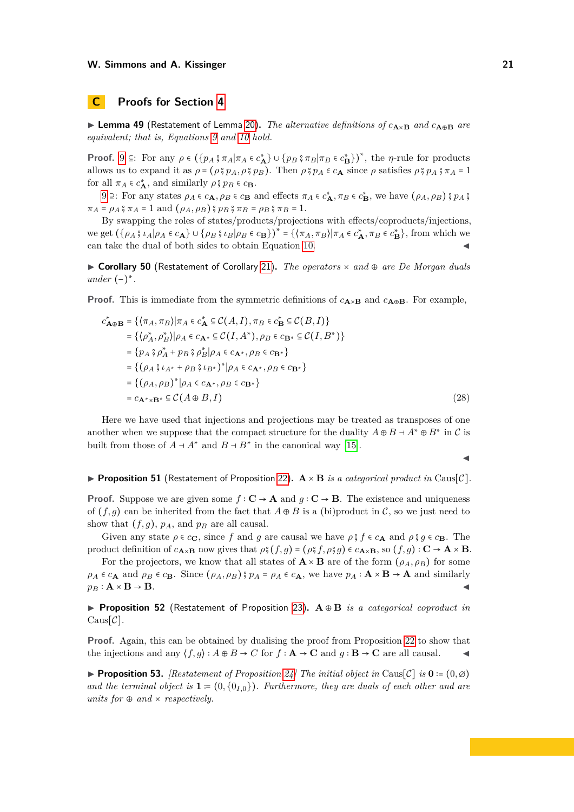## **C Proofs for Section [4](#page-7-4)**

▶ **Lemma 49** (Restatement of Lemma [20\)](#page-7-5). *The alternative definitions of*  $c_{\mathbf{A}\times\mathbf{B}}$  *and*  $c_{\mathbf{A}\oplus\mathbf{B}}$  *are equivalent; that is, Equations [9](#page-7-0) and [10](#page-7-1) hold.*

**Proof.**  $9 \subseteq$  $9 \subseteq$ : For any  $\rho \in (\{p_A \}_{A}^n | \pi_A \in c_A^* ) \cup \{p_B \}_{B}^n | \pi_B \in c_B^* \})^*$ , the *n*-rule for products allows us to expand it as  $\rho = (\rho \hat{S} p_A, \rho \hat{S} p_B)$ . Then  $\rho \hat{S} p_A \in c_A$  since  $\rho$  satisfies  $\rho \hat{S} p_A \hat{S} \pi_A = 1$ for all  $\pi_A \in c_A^*$ , and similarly  $\rho \circ p_B \in c_B$ .

 $9 \supseteq$  $9 \supseteq$ : For any states  $\rho_A \in c_A$ ,  $\rho_B \in c_B$  and effects  $\pi_A \in c_A^*$ ,  $\pi_B \in c_B^*$ , we have  $(\rho_A, \rho_B) \circ \rho_A \circ$  $\pi_A = \rho_A \frac{1}{2} \pi_A = 1$  and  $(\rho_A, \rho_B) \frac{1}{2} \rho_B \frac{2}{3} \pi_B = \rho_B \frac{2}{3} \pi_B = 1$ .

By swapping the roles of states/products/projections with effects/coproducts/injections, we get  $(\{\rho_A \}, \mu_A | \rho_A \in c_{\mathbf{A}}) \cup \{\rho_B \}, \mu_B | \rho_B \in c_{\mathbf{B}}\})^* = \{(\pi_A, \pi_B) | \pi_A \in c_{\mathbf{A}}^*, \pi_B \in c_{\mathbf{B}}^*\},$  from which we can take the dual of both sides to obtain Equation [10.](#page-7-1)

I **Corollary 50** (Restatement of Corollary [21\)](#page-8-2)**.** *The operators* × *and* ⊕ *are De Morgan duals*  $under(-)^*$ .

**Proof.** This is immediate from the symmetric definitions of  $c_{\mathbf{A}\times\mathbf{B}}$  and  $c_{\mathbf{A}\oplus\mathbf{B}}$ . For example,

$$
c_{\mathbf{A}\oplus\mathbf{B}}^* = \{ \langle \pi_A, \pi_B \rangle | \pi_A \in c_{\mathbf{A}}^* \subseteq \mathcal{C}(A, I), \pi_B \in c_{\mathbf{B}}^* \subseteq \mathcal{C}(B, I) \}
$$
  
\n
$$
= \{ \langle \rho_A^*, \rho_B^* \rangle | \rho_A \in c_{\mathbf{A}^*} \subseteq \mathcal{C}(I, A^*), \rho_B \in c_{\mathbf{B}^*} \subseteq \mathcal{C}(I, B^*) \}
$$
  
\n
$$
= \{ p_A \circ \rho_A^* + p_B \circ \rho_B^* | \rho_A \in c_{\mathbf{A}^*}, \rho_B \in c_{\mathbf{B}^*} \}
$$
  
\n
$$
= \{ (\rho_A \circ \iota_A^* + \rho_B \circ \iota_B^*)^* | \rho_A \in c_{\mathbf{A}^*}, \rho_B \in c_{\mathbf{B}^*} \}
$$
  
\n
$$
= \{ (\rho_A, \rho_B)^* | \rho_A \in c_{\mathbf{A}^*}, \rho_B \in c_{\mathbf{B}^*} \}
$$
  
\n
$$
= c_{\mathbf{A}^* \times \mathbf{B}^*} \subseteq \mathcal{C}(A \oplus B, I)
$$
 (28)

Here we have used that injections and projections may be treated as transposes of one another when we suppose that the compact structure for the duality  $A \oplus B \dashv A^* \oplus B^*$  in C is built from those of  $A \dashv A^*$  and  $B \dashv B^*$  in the canonical way [\[15\]](#page-13-14).

**• Proposition 51** (Restatement of Proposition [22\)](#page-8-3).  $\mathbf{A} \times \mathbf{B}$  *is a categorical product in* Caus[C].

**Proof.** Suppose we are given some  $f: \mathbf{C} \to \mathbf{A}$  and  $g: \mathbf{C} \to \mathbf{B}$ . The existence and uniqueness of  $(f, g)$  can be inherited from the fact that  $A \oplus B$  is a (bi)product in C, so we just need to show that  $(f, g)$ ,  $p_A$ , and  $p_B$  are all causal.

Given any state  $\rho \in c_{\mathbf{C}}$ , since f and g are causal we have  $\rho \circ f \in c_{\mathbf{A}}$  and  $\rho \circ g \in c_{\mathbf{B}}$ . The product definition of  $c_{\mathbf{A}\times\mathbf{B}}$  now gives that  $\rho^s$ ,  $(f, g) = (\rho^s f, \rho^s g) \in c_{\mathbf{A}\times\mathbf{B}}$ , so  $(f, g) : \mathbf{C} \to \mathbf{A} \times \mathbf{B}$ .

For the projectors, we know that all states of  $\mathbf{A} \times \mathbf{B}$  are of the form  $(\rho_A, \rho_B)$  for some  $\rho_A \in c_A$  and  $\rho_B \in c_B$ . Since  $(\rho_A, \rho_B) \hat{g} p_A = \rho_A \in c_A$ , we have  $p_A : A \times B \to A$  and similarly  $p_B : \mathbf{A} \times \mathbf{B} \to \mathbf{B}$ .

I **Proposition 52** (Restatement of Proposition [23\)](#page-8-4)**. A** ⊕ **B** *is a categorical coproduct in*  $\text{Caus}[\mathcal{C}]$ .

**Proof.** Again, this can be obtained by dualising the proof from Proposition [22](#page-8-3) to show that the injections and any  $\langle f, g \rangle : A \oplus B \to C$  for  $f : A \to \mathbf{C}$  and  $g : B \to \mathbf{C}$  are all causal.

**Proposition 53.** *[Restatement of Proposition [24\]](#page-8-5) The initial object in* Caus[C] *is*  $\mathbf{0} = (0, \emptyset)$ *and the terminal object is*  $\mathbf{1} := (0, \{0_{I,0}\})$ *. Furthermore, they are duals of each other and are units for* ⊕ *and* × *respectively.*

 $\blacktriangleleft$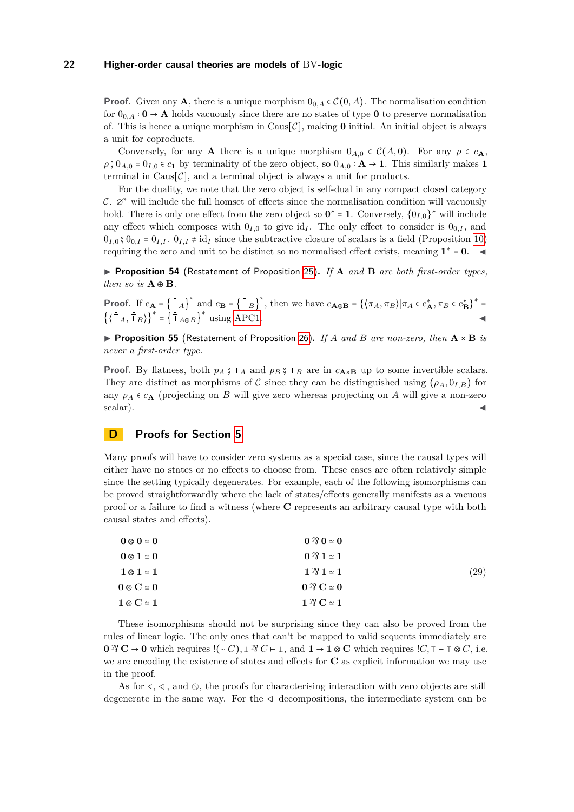**Proof.** Given any **A**, there is a unique morphism  $0_{0,A} \in \mathcal{C}(0,A)$ . The normalisation condition for  $0_{0,A}: \mathbf{0} \to \mathbf{A}$  holds vacuously since there are no states of type **0** to preserve normalisation of. This is hence a unique morphism in Caus $[\mathcal{C}]$ , making **0** initial. An initial object is always a unit for coproducts.

Conversely, for any **A** there is a unique morphism  $0_{A,0} \in C(A,0)$ . For any  $\rho \in c_{\mathbf{A}}$ ,  $\rho$   $\hat{i}$   $0$ <sub>*A,*0</sub> =  $0$ <sub>*I,0*</sub>  $\in$  *c*<sub>1</sub> by terminality of the zero object, so  $0$ <sub>*A,0</sub>* :  $\mathbf{A} \rightarrow \mathbf{1}$ . This similarly makes **1**</sub> terminal in Caus $[\mathcal{C}]$ , and a terminal object is always a unit for products.

For the duality, we note that the zero object is self-dual in any compact closed category  $\mathcal{C}. \ \varnothing^*$  will include the full homset of effects since the normalisation condition will vacuously hold. There is only one effect from the zero object so  $\mathbf{0}^* = \mathbf{1}$ . Conversely,  $\{0_{I,0}\}^*$  will include any effect which composes with  $0_{I,0}$  to give id<sub>I</sub>. The only effect to consider is  $0_{0,I}$ , and  $0_{I,0}$   $\hat{y}$ ,  $0_{0,I}$  =  $0_{I,I}$ .  $0_{I,I}$  ≠ id<sub>*I*</sub> since the subtractive closure of scalars is a field (Proposition [10\)](#page-5-6) requiring the zero and unit to be distinct so no normalised effect exists, meaning  $1^* = 0$ .

I **Proposition 54** (Restatement of Proposition [25\)](#page-8-6)**.** *If* **A** *and* **B** *are both first-order types, then so is*  $\mathbf{A} \oplus \mathbf{B}$ 

**Proof.** If  $c_{\mathbf{A}} = \{\bar{\pm}_A\}^*$  and  $c_{\mathbf{B}} = \{\bar{\pm}_B\}^*$ , then we have  $c_{\mathbf{A}\oplus\mathbf{B}} = \{\{\pi_A, \pi_B\} | \pi_A \in c^*_{\mathbf{A}}, \pi_B \in c^*_{\mathbf{B}}\}^*$  $\{(\bar{\bar{\tau}}_A, \bar{\bar{\tau}}_B)\}^* = \{\bar{\bar{\tau}}_{A\oplus B}\}^*$  using [APC1.](#page-4-0)

I **Proposition 55** (Restatement of Proposition [26\)](#page-8-7)**.** *If A and B are non-zero, then* **A** × **B** *is never a first-order type.*

**Proof.** By flatness, both  $p_A \circ \overline{\overline{T}}_A$  and  $p_B \circ \overline{\overline{T}}_B$  are in  $c_{A \times B}$  up to some invertible scalars. They are distinct as morphisms of C since they can be distinguished using  $(\rho_A, 0_{I,B})$  for any  $\rho_A \in c_A$  (projecting on *B* will give zero whereas projecting on *A* will give a non-zero  $\mathop{\rm scalar}$ ).

## **D Proofs for Section [5](#page-8-0)**

Many proofs will have to consider zero systems as a special case, since the causal types will either have no states or no effects to choose from. These cases are often relatively simple since the setting typically degenerates. For example, each of the following isomorphisms can be proved straightforwardly where the lack of states/effects generally manifests as a vacuous proof or a failure to find a witness (where **C** represents an arbitrary causal type with both causal states and effects).

<span id="page-21-0"></span>

|                    | $0 \sqrt[2]{} 0 \approx 0$ | $0 \otimes 0 \simeq 0$ |
|--------------------|----------------------------|------------------------|
|                    | $0 \sqrt[2]{} 1 \approx 1$ | $0 \otimes 1 \simeq 0$ |
| $\left( 29\right)$ | $1 \mathcal{R} 1 \simeq 1$ | $1 \otimes 1 \simeq 1$ |
|                    | $0 \mathcal{R} C \simeq 0$ | $0 \otimes C \simeq 0$ |
|                    | $1 \mathcal{R} C \simeq 1$ | $1 \otimes C \simeq 1$ |
|                    |                            |                        |

These isomorphisms should not be surprising since they can also be proved from the rules of linear logic. The only ones that can't be mapped to valid sequents immediately are **0**  $\mathcal{R}$  **C** → **0** which requires  $!(\sim C), \perp \mathcal{R}$   $C \vdash \perp$ , and  $\mathbf{1} \rightarrow \mathbf{1} \otimes \mathbf{C}$  which requires  $:C, \top \vdash \top \otimes C$ , i.e. we are encoding the existence of states and effects for **C** as explicit information we may use in the proof.

As for  $\lt, \lt, \lt, \lt$ , and  $\otimes$ , the proofs for characterising interaction with zero objects are still degenerate in the same way. For the  $\triangleleft$  decompositions, the intermediate system can be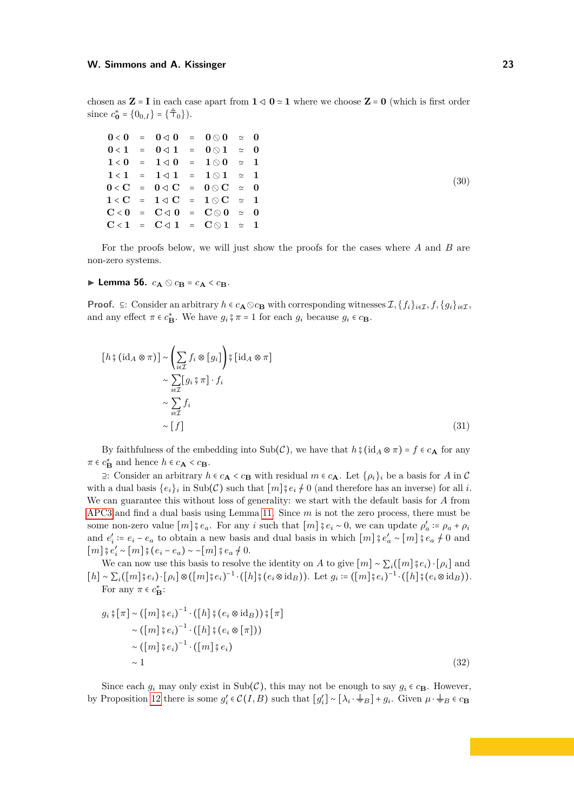(30)

chosen as  $\mathbf{Z} = \mathbf{I}$  in each case apart from  $\mathbf{1} \triangleleft \mathbf{0} \simeq \mathbf{1}$  where we choose  $\mathbf{Z} = \mathbf{0}$  (which is first order since  $c_0^* = \{0_{0,I}\} = \{\bar{\bar{\top}}_0\}$ .

<span id="page-22-1"></span>

|       | $0 < 0 = 0 < 0 = 0 \otimes 0 \approx 0$               |  |             |  |
|-------|-------------------------------------------------------|--|-------------|--|
|       | $0 < 1 = 0 < 1 = 0 \otimes 1 \approx 0$               |  |             |  |
|       | $1 < 0$ = $1 \triangleleft 0$ = $1 \odot 0 \approx 1$ |  |             |  |
|       | $1 < 1 = 1 \triangleleft 1 = 1 \triangle 1 \cong 1$   |  |             |  |
|       | $0 < C = 0 \triangleleft C = 0 \triangle C$           |  | $\approx 0$ |  |
| 1 < C | $= 1 \triangleleft C = 1 \triangle C$                 |  | $\approx$ 1 |  |
|       | $C < 0$ = $C < 0$ = $C \otimes 0 \approx 0$           |  |             |  |
|       | $C<1$ = $C<1$ = $C\otimes 1$ = $1$                    |  |             |  |
|       |                                                       |  |             |  |

For the proofs below, we will just show the proofs for the cases where *A* and *B* are non-zero systems.

<span id="page-22-0"></span> $\blacktriangleright$  Lemma 56.  $c_A \otimes c_B = c_A < c_B$ .

**Proof.** ⊆: Consider an arbitrary  $h \in c_{\mathbf{A}} \otimes c_{\mathbf{B}}$  with corresponding witnesses  $\mathcal{I}, \{f_i\}_{i \in \mathcal{I}}, f, \{g_i\}_{i \in \mathcal{I}}$ and any effect  $\pi \in c_{\mathbf{B}}^*$ . We have  $g_i \, \hat{\zeta} \, \pi = 1$  for each  $g_i$  because  $g_i \in c_{\mathbf{B}}$ .

$$
[h \, \hat{\mathfrak{s}} \, (\mathrm{id}_A \otimes \pi)] \sim \left(\sum_{i \in \mathcal{I}} f_i \otimes [g_i] \right) \hat{\mathfrak{s}} \, [\mathrm{id}_A \otimes \pi]
$$

$$
\sim \sum_{i \in \mathcal{I}} [g_i \, \hat{\mathfrak{s}} \, \pi] \cdot f_i
$$

$$
\sim \sum_{i \in \mathcal{I}} f_i
$$

$$
\sim [f]
$$
(31)

By faithfulness of the embedding into  $\text{Sub}(\mathcal{C})$ , we have that  $h \circ (\text{id}_A \otimes \pi) = f \in c_A$  for any  $\pi \in c_{\mathbf{B}}^*$  and hence  $h \in c_{\mathbf{A}} < c_{\mathbf{B}}$ .

⊇: Consider an arbitrary  $h \in c_{\mathbf{A}} < c_{\mathbf{B}}$  with residual  $m \in c_{\mathbf{A}}$ . Let  $\{ \rho_i \}_i$  be a basis for *A* in *C* with a dual basis  $\{e_i\}_i$  in Sub(C) such that  $[m]\,$ ;  $e_i \neq 0$  (and therefore has an inverse) for all *i*. We can guarantee this without loss of generality: we start with the default basis for *A* from [APC3](#page-5-1) and find a dual basis using Lemma [11.](#page-5-4) Since *m* is not the zero process, there must be some non-zero value  $[m]$   $\frac{2}{3}e_a$ . For any *i* such that  $[m]$   $\frac{2}{3}e_i \sim 0$ , we can update  $\rho'_a := \rho_a + \rho_i$ and  $e'_i := e_i - e_a$  to obtain a new basis and dual basis in which  $[m] \frac{2}{7} e'_a \sim [m] \frac{2}{7} e_a \neq 0$  and  $[m] \S e'_i \sim [m] \S (e_i - e_a) \sim -[m] \S e_a \neq 0.$ 

We can now use this basis to resolve the identity on *A* to give  $[m] \sim \sum_i ([m] \hat{s} e_i) \cdot [\rho_i]$  and<br> $\sum_i ([m] \hat{s} e_i) \cdot [q] \circ ([m] \hat{s} e_i) \cdot [q] \circ ([m] \hat{s} e_i) \cdot [q] \circ ([m] \hat{s} e_i) \cdot [q] \circ ([m] \hat{s} e_i) \cdot [q] \circ ([m] \hat{s} e_i) \cdot [q] \circ ([m] \hat{s} e_i) \cdot [q] \circ ([m]$  $[h] \sim \sum_i ([m] \hat{z} e_i) \cdot [\rho_i] \otimes ([m] \hat{z} e_i)^{-1} \cdot ([h] \hat{z} (e_i \otimes id_B)).$  Let  $g_i = ([m] \hat{z} e_i)^{-1} \cdot ([h] \hat{z} (e_i \otimes id_B)).$ For any  $\pi \in c^*_{\mathbf{B}}$ :

$$
g_i \S[\pi] \sim ([m] \S e_i)^{-1} \cdot ([h] \S (e_i \otimes id_B)) \S [\pi]
$$
  
\$\sim ([m] \S e\_i)^{-1} \cdot ([h] \S (e\_i \otimes [\pi]))\$  
\$\sim ([m] \S e\_i)^{-1} \cdot ([m] \S e\_i)\$  
\$\sim 1\$ (32)

Since each  $g_i$  may only exist in Sub(C), this may not be enough to say  $g_i \in c_{\mathbf{B}}$ . However, by Proposition [12](#page-6-2) there is some  $g'_i \in \mathcal{C}(I, B)$  such that  $[g'_i] \sim [\lambda_i \cdot \frac{1}{\pm B}] + g_i$ . Given  $\mu \cdot \frac{1}{\pm B} \in c_B$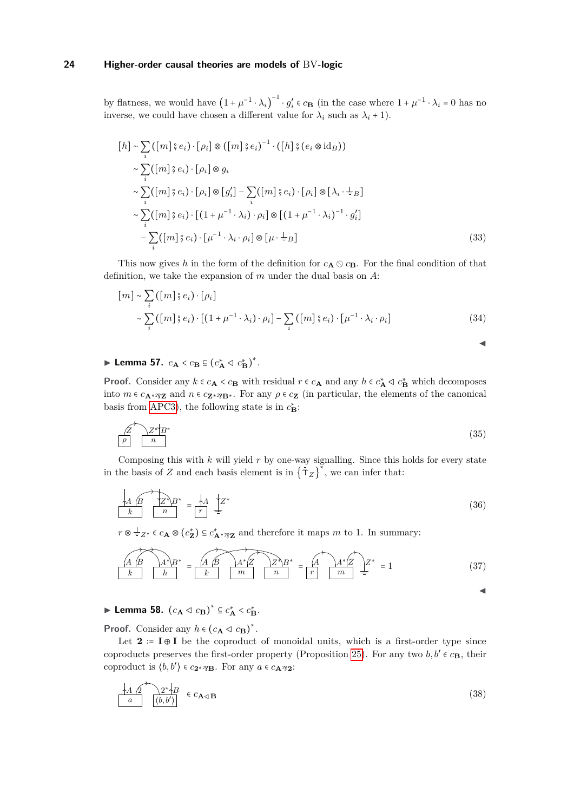by flatness, we would have  $(1 + \mu^{-1} \cdot \lambda_i)^{-1} \cdot g'_i \in c_{\mathbf{B}}$  (in the case where  $1 + \mu^{-1} \cdot \lambda_i = 0$  has no inverse, we could have chosen a different value for  $\lambda_i$  such as  $\lambda_i + 1$ ).

$$
[h] \sim \sum_{i} ([m] \hat{\mathbf{y}} e_i) \cdot [\rho_i] \otimes ([m] \hat{\mathbf{y}} e_i)^{-1} \cdot ([h] \hat{\mathbf{y}} (e_i \otimes id_B))
$$
  
\n
$$
\sim \sum_{i} ([m] \hat{\mathbf{y}} e_i) \cdot [\rho_i] \otimes g_i
$$
  
\n
$$
\sim \sum_{i} ([m] \hat{\mathbf{y}} e_i) \cdot [\rho_i] \otimes [g'_i] - \sum_{i} ([m] \hat{\mathbf{y}} e_i) \cdot [\rho_i] \otimes [\lambda_i \cdot \frac{1}{\pm B}]
$$
  
\n
$$
\sim \sum_{i} ([m] \hat{\mathbf{y}} e_i) \cdot [(1 + \mu^{-1} \cdot \lambda_i) \cdot \rho_i] \otimes [(1 + \mu^{-1} \cdot \lambda_i)^{-1} \cdot g'_i]
$$
  
\n
$$
- \sum_{i} ([m] \hat{\mathbf{y}} e_i) \cdot [\mu^{-1} \cdot \lambda_i \cdot \rho_i] \otimes [\mu \cdot \frac{1}{\pm B}]
$$
\n(33)

This now gives h in the form of the definition for  $c_{\bf A} \otimes c_{\bf B}$ . For the final condition of that definition, we take the expansion of *m* under the dual basis on *A*:

$$
[m] \sim \sum_{i} ([m] \mathbin{\S} e_i) \cdot [\rho_i]
$$
  
\$\sim \sum\_{i} ([m] \mathbin{\S} e\_i) \cdot [(1 + \mu^{-1} \cdot \lambda\_i) \cdot \rho\_i] - \sum\_{i} ([m] \mathbin{\S} e\_i) \cdot [\mu^{-1} \cdot \lambda\_i \cdot \rho\_i] \qquad (34)\$

$$
\overline{a}
$$

J

## <span id="page-23-0"></span>► Lemma 57.  $c_{\mathbf{A}} < c_{\mathbf{B}} \subseteq (c^*_{\mathbf{A}} \triangleleft c^*_{\mathbf{B}})^*$ .

**Proof.** Consider any  $k \in c_A < c_B$  with residual  $r \in c_A$  and any  $h \in c_A^* \triangleleft c_B^*$  which decomposes into  $m \in c_{\mathbf{A}^*}$ <sub> $\mathcal{Z}$ </sub> and  $n \in c_{\mathbf{Z}^*}$ <sub> $\mathcal{Z}$ </sub> For any  $\rho \in c_{\mathbf{Z}}$  (in particular, the elements of the canonical basis from [APC3\)](#page-5-1), the following state is in  $c_{\mathbf{B}}^*$ :

$$
\widetilde{\boxed{\rho}} \quad \boxed{\frac{Z^*|B^*}{n}} \tag{35}
$$

Composing this with  $k$  will yield  $r$  by one-way signalling. Since this holds for every state in the basis of *Z* and each basis element is in  $\{\bar{\pm}_Z\}^*$ , we can infer that:

$$
\frac{A}{k} \overrightarrow{B}^* = \frac{A}{r} \stackrel{+}{=} \frac{Z^*}{\equiv}
$$
 (36)

 $r \otimes \frac{1}{\tau} Z^* \in c_A \otimes (c_{\mathbf{Z}}^*) \subseteq c_{\mathbf{A}^* \otimes \mathbf{Z}}^*$  and therefore it maps *m* to 1. In summary:

$$
\frac{\widehat{A \mid B}}{k} \frac{\widehat{A^*} \mid B^*}{h} = \frac{\widehat{A \mid B}}{k} \frac{\widehat{A^*} \mid Z^* \mid B^*}{m} = \frac{\widehat{A}}{r} \frac{\widehat{A^*} \mid Z^* \mid Z^*}{m} = 1 \tag{37}
$$

<span id="page-23-1"></span>► Lemma 58.  $(c_{\mathbf{A}} \triangleleft c_{\mathbf{B}})^* \subseteq c_{\mathbf{A}}^* < c_{\mathbf{B}}^*$ .

**Proof.** Consider any  $h \in (c_{\mathbf{A}} \triangleleft c_{\mathbf{B}})^*$ .

Let **2** ∶= **I** ⊕ **I** be the coproduct of monoidal units, which is a first-order type since coproducts preserves the first-order property (Proposition [25\)](#page-8-6). For any two  $b, b' \in c_{\mathbf{B}}$ , their coproduct is  $\langle b, b' \rangle \in c_{2*} \infty$ . For any  $a \in c_{A} \infty_2$ :

$$
\frac{\left|A \stackrel{\frown}{\mathcal{A}} \right|}{a} \frac{\left|2^* \stackrel{\frown}{B}}{\left(b, b'\right)} \in c_{\mathbf{A} \triangleleft \mathbf{B}} \tag{38}
$$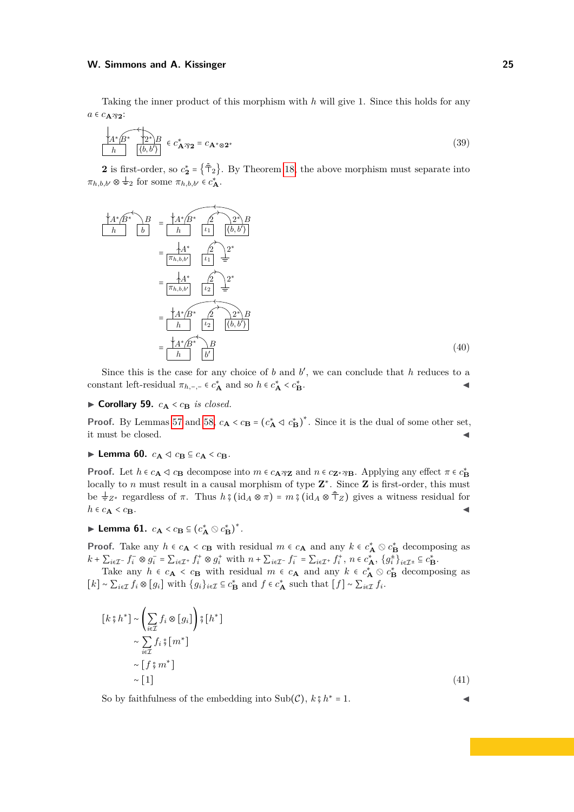Taking the inner product of this morphism with *h* will give 1. Since this holds for any  $a \in c_A$ <sub>2</sub>:

$$
A^*B^* \t{2^*}B \in c^*_{A^{\mathfrak{B}_2}} = c_{A^*\otimes 2^*}
$$
\n(39)

**2** is first-order, so  $c_2^* = {\bar{\tau}_2}$ . By Theorem [18,](#page-7-3) the above morphism must separate into  $\pi_{h,b,b'} \otimes \frac{1}{a}$  for some  $\pi_{h,b,b'} \in c^*$ .



Since this is the case for any choice of  $b$  and  $b'$ , we can conclude that  $h$  reduces to a constant left-residual  $\pi_{h,-}$ ,− ∈  $c_{\mathbf{A}}^*$  and so  $h \in c_{\mathbf{A}}^* < c_{\mathbf{B}}^*$  $\mathbf{B}$ .

<span id="page-24-0"></span> $\triangleright$  **Corollary 59.**  $c_A < c_B$  *is closed.* 

**Proof.** By Lemmas [57](#page-23-0) and [58,](#page-23-1)  $c_{\mathbf{A}} < c_{\mathbf{B}} = (c_{\mathbf{A}}^* \triangleleft c_{\mathbf{B}}^*)^*$ . Since it is the dual of some other set, it must be closed.

<span id="page-24-1"></span> $\blacktriangleright$  Lemma 60.  $c_A \triangleleft c_B \subseteq c_A \triangleleft c_B$ .

**Proof.** Let  $h \in c_{\mathbf{A}} \triangleleft c_{\mathbf{B}}$  decompose into  $m \in c_{\mathbf{A}} \otimes_{\mathbf{Z}} a$  and  $n \in c_{\mathbf{Z}^* \otimes \mathbf{B}}$ . Applying any effect  $\pi \in c_{\mathbf{B}}^*$ locally to *n* must result in a causal morphism of type  $\mathbb{Z}^*$ . Since  $\mathbb{Z}$  is first-order, this must be  $\frac{1}{\tau}Z^*$  regardless of  $\pi$ . Thus  $h \circ (\text{id}_A \otimes \pi) = m \circ (\text{id}_A \otimes \bar{\tau}_Z)$  gives a witness residual for  $h \in c_A < c_B$ .  $h \in c_{\mathbf{A}} < c_{\mathbf{B}}$ .

<span id="page-24-2"></span>▶ Lemma 61.  $c_{\mathbf{A}} < c_{\mathbf{B}} \subseteq (c_{\mathbf{A}}^* \otimes c_{\mathbf{B}}^*)^*$ .

**Proof.** Take any  $h \in c_A < c_B$  with residual  $m \in c_A$  and any  $k \in c_A^* \otimes c_B^*$  decomposing as  $k+\sum_{i\in\mathcal{I}^-}f^-_i\otimes g^-_i=\sum_{i\in\mathcal{I}^+}f^+_i\otimes g^+_i$  with  $n+\sum_{i\in\mathcal{I}^-}f^-_i=\sum_{i\in\mathcal{I}^+}f^+_i, n\in c^*_{\mathbf{A}}, \{g^{\pm}_i\}_{i\in\mathcal{I}^{\pm}}\subseteq c^*_{\mathbf{B}}$ .

Take any  $h \in c_A < c_B$  with residual  $m \in c_A$  and any  $k \in c_A^* \otimes c_B^*$  decomposing as  $[k] \sim \sum_{i \in \mathcal{I}} f_i \otimes [g_i]$  with  $\{g_i\}_{i \in \mathcal{I}} \subseteq c^*_{\mathbf{B}}$  and  $f \in c^*_{\mathbf{A}}$  such that  $[f] \sim \sum_{i \in \mathcal{I}} f_i$ .

$$
[k \hat{\sigma} h^*] \sim \left(\sum_{i \in \mathcal{I}} f_i \otimes [g_i] \right) \hat{\sigma} [h^*]
$$
  
\$\sim \sum\_{i \in \mathcal{I}} f\_i \hat{\sigma} [m^\*] \$  
\$\sim [f \hat{\sigma} m^\*] \$  
\$\sim [1] \$(41)\$

So by faithfulness of the embedding into Sub( $C$ ),  $k \, \hat{\,} h^* = 1$ .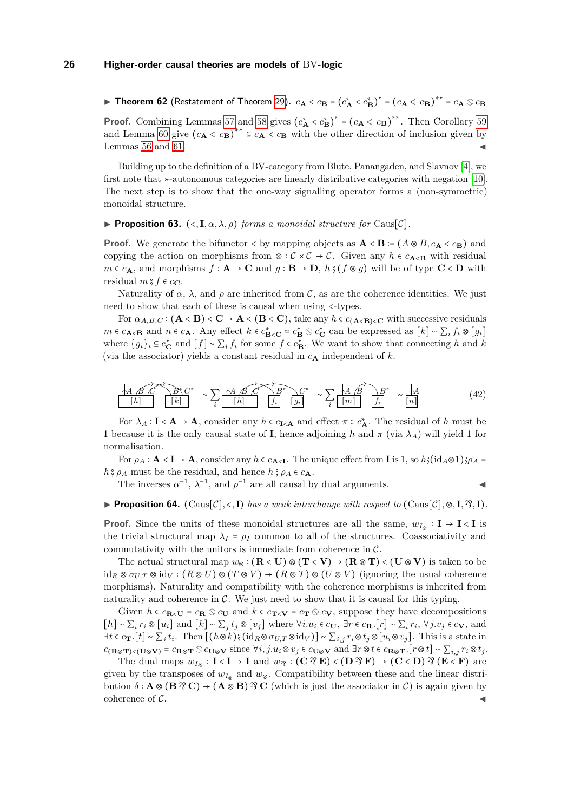► Theorem 62 (Restatement of Theorem [29\)](#page-10-0).  $c_{\bf A} < c_{\bf B} = (c_{\bf A}^* < c_{\bf B}^*)^* = (c_{\bf A} √ c_{\bf B})^{**} = c_{\bf A} ∘ c_{\bf B}$ 

**Proof.** Combining Lemmas [57](#page-23-0) and [58](#page-23-1) gives  $(c_A^* < c_B^*)^* = (c_A \triangleleft c_B)^*$ . Then Corollary [59](#page-24-0) and Lemma [60](#page-24-1) give  $(c_A \triangleleft c_B)^*$   $\subseteq c_A \triangleleft c_B$  with the other direction of inclusion given by Lemmas  $56$  and  $61$ .

Building up to the definition of a BV-category from Blute, Panangaden, and Slavnov [\[4\]](#page-12-6), we first note that ∗-autonomous categories are linearly distributive categories with negation [\[10\]](#page-13-15). The next step is to show that the one-way signalling operator forms a (non-symmetric) monoidal structure.

**Proposition 63.**  $(*,* I, *α, λ, ρ)*$  *forms a monoidal structure for* Caus[C].

**Proof.** We generate the bifunctor < by mapping objects as  $\mathbf{A} \leq \mathbf{B} = (A \otimes B, c_{\mathbf{A}} \leq c_{\mathbf{B}})$  and copying the action on morphisms from  $\otimes : C \times C \to C$ . Given any  $h \in c_{\mathbf{A} \ltimes \mathbf{B}}$  with residual *m* ∈  $c$ **A**, and morphisms  $f: \mathbf{A} \to \mathbf{C}$  and  $g: \mathbf{B} \to \mathbf{D}$ ,  $h \circ g(f \otimes g)$  will be of type **C** < **D** with residual  $m \hat{s} f \in c_{\mathbf{C}}$ .

Naturality of  $\alpha$ ,  $\lambda$ , and  $\rho$  are inherited from C, as are the coherence identities. We just need to show that each of these is causal when using <-types.

For  $\alpha_{A,B,C}$  :  $(\mathbf{A} \leq \mathbf{B}) \leq \mathbf{C} \rightarrow \mathbf{A} \leq (\mathbf{B} \leq \mathbf{C})$ , take any  $h \in c_{(\mathbf{A} \leq \mathbf{B}) \leq \mathbf{C}}$  with successive residuals  $m \in c_{\mathbf{A} \leq \mathbf{B}}$  and  $n \in c_{\mathbf{A}}$ . Any effect  $k \in c_{\mathbf{B} \leq \mathbf{C}}^* \simeq c_{\mathbf{B}}^* \otimes c_{\mathbf{C}}^*$  can be expressed as  $[k] \sim \sum_i f_i \otimes [g_i]$ where  ${g_i}_i$  ⊆  $c^*$  and  $[f]$  ~  $\sum_i f_i$  for some  $f \in c^*$ . We want to show that connecting *h* and *k* (via the associator) yields a constant residual in  $c_{\mathbf{A}}$  independent of  $k$ .

$$
\frac{\left|\mathcal{A}\text{ B C}}{\left[h\right]}\right|_{\mathcal{A}} \sim \sum_{i} \frac{\left|\mathcal{A}\text{ B C}^{*}\right|_{\mathcal{A}} \sim \sum_{i} \frac{\left|\mathcal{A}\text{ B C}^{*}\right|_{\mathcal{A}} \sim \sum_{i} \frac{\left|\mathcal{A}\text{ B}}{\left[n\right]}\right|_{\mathcal{A}} \sim \sum_{i} \frac{\left|\mathcal{A}\text{ B C}^{*}\right|_{\mathcal{A}} \sim \left|\mathcal{A}\right|_{\mathcal{A}}}{\left[n\right] \sim \left[n\right]} \sim \frac{\left|\mathcal{A}\text{ B C}^{*}\right|_{\mathcal{A}} \sim \left[n\right]} \tag{42}
$$

For  $\lambda_A : \mathbf{I} \times \mathbf{A} \to \mathbf{A}$ , consider any  $h \in c_{\mathbf{I} \times \mathbf{A}}$  and effect  $\pi \in c^*_{\mathbf{A}}$ . The residual of *h* must be 1 because it is the only causal state of **I**, hence adjoining *h* and *π* (via *λA*) will yield 1 for normalisation.

For  $\rho_A : \mathbf{A} \leq \mathbf{I} \to \mathbf{A}$ , consider any  $h \in c_{\mathbf{A} \leq \mathbf{I}}$ . The unique effect from **I** is 1, so  $h \cdot (id_A \otimes 1) \cdot \rho_A =$  $h \circ \rho_A$  must be the residual, and hence  $h \circ \rho_A \in c_A$ .

The inverses  $\alpha^{-1}$ ,  $\lambda^{-1}$ , and  $\rho^{-1}$  are all causal by dual arguments.

**► Proposition 64.** (Caus[C], <, **I**) *has a weak interchange with respect to* (Caus[C],  $\otimes$ , **I**,  $\mathfrak{X}, \mathbf{I}$ )*.* 

**Proof.** Since the units of these monoidal structures are all the same,  $w_{I_{\otimes}} : I \to I \times I$  is the trivial structural map  $\lambda_I = \rho_I$  common to all of the structures. Coassociativity and commutativity with the unitors is immediate from coherence in  $C$ .

The actual structural map  $w_{\otimes} : (\mathbf{R} \times \mathbf{U}) \otimes (\mathbf{T} \times \mathbf{V}) \to (\mathbf{R} \otimes \mathbf{T}) \times (\mathbf{U} \otimes \mathbf{V})$  is taken to be  $id_R \otimes \sigma_{U,T} \otimes id_V : (R \otimes U) \otimes (T \otimes V) \rightarrow (R \otimes T) \otimes (U \otimes V)$  (ignoring the usual coherence morphisms). Naturality and compatibility with the coherence morphisms is inherited from naturality and coherence in  $\mathcal{C}$ . We just need to show that it is causal for this typing.

Given  $h \in c_{\mathbf{R} \leq \mathbf{U}} = c_{\mathbf{R}} \otimes c_{\mathbf{U}}$  and  $k \in c_{\mathbf{T} \leq \mathbf{V}} = c_{\mathbf{T}} \otimes c_{\mathbf{V}}$ , suppose they have decompositions  $[h] \sim \sum_i r_i \otimes [u_i]$  and  $[k] \sim \sum_j t_j \otimes [v_j]$  where  $\forall i.u_i \in c_{\mathbf{U}}, \exists r \in c_{\mathbf{R}}. [r] \sim \sum_i r_i, \forall j.v_j \in c_{\mathbf{V}},$  and  $\exists t \in c_{\mathbf{T}}. [t] \sim \sum_i t_i$ . Then  $[(h \otimes k) \hat{s}(\mathrm{id}_R \otimes \sigma_{U,T} \otimes \mathrm{id}_V)] \sim \sum_{i,j} r_i \otimes t_j \otimes [u_i \otimes v_j]$ . This is a state in  $c_{(\mathbf{R}\otimes\mathbf{T})\leq (\mathbf{U}\otimes\mathbf{V})} = c_{\mathbf{R}\otimes\mathbf{T}} \otimes c_{\mathbf{U}\otimes\mathbf{V}}$  since  $\forall i, j, u_i \otimes v_j \in c_{\mathbf{U}\otimes\mathbf{V}}$  and  $\exists r \otimes t \in c_{\mathbf{R}\otimes\mathbf{T}}$ .  $[r \otimes t] \sim \sum_{i,j} r_i \otimes t_j$ .

The dual maps  $w_{I_{\mathcal{F}}} : I \times I \to I$  and  $w_{\mathcal{F}} : (\mathbf{C} \mathcal{F} \mathbf{E}) \times (\mathbf{D} \mathcal{F}) \to (\mathbf{C} \times \mathbf{D}) \mathcal{F} (\mathbf{E} \times \mathbf{F})$  are given by the transposes of  $w_{I_{\infty}}$  and  $w_{\infty}$ . Compatibility between these and the linear distribution  $\delta$  **: A**  $\otimes$  (**B**  $\mathcal{R}$ **C**) → (**A** $\otimes$ **B**)  $\mathcal{R}$ **C** (which is just the associator in C) is again given by coherence of  $C$ .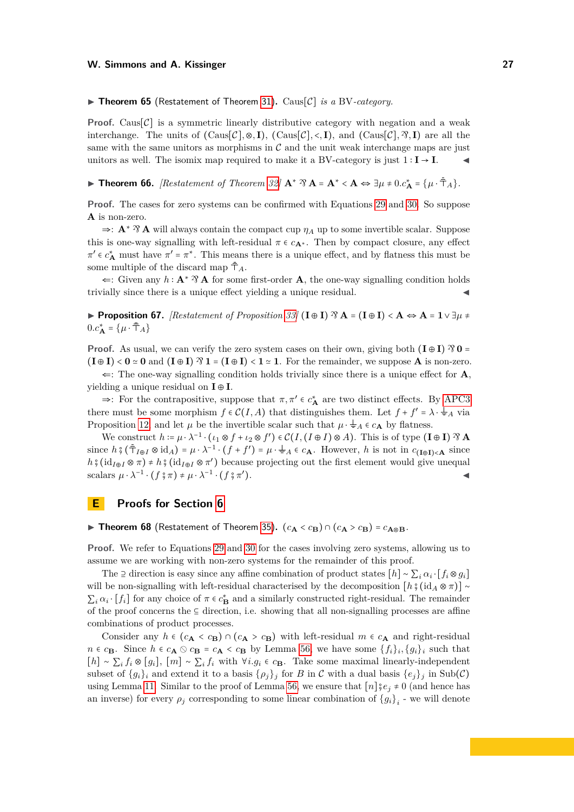#### $\triangleright$  **Theorem 65** (Restatement of Theorem [31\)](#page-10-1). Caus[C] *is a* BV-category.

**Proof.** Caus[ $\mathcal{C}$ ] is a symmetric linearly distributive category with negation and a weak interchange. The units of  $(Caus[\mathcal{C}], \otimes, \mathbf{I})$ ,  $(Caus[\mathcal{C}], \leq, \mathbf{I})$ , and  $(Caus[\mathcal{C}], \mathcal{B}, \mathbf{I})$  are all the same with the same unitors as morphisms in  $\mathcal C$  and the unit weak interchange maps are just unitors as well. The isomix map required to make it a BV-category is just  $1: I \rightarrow I$ .

▶ **Theorem 66.** *[Restatement of Theorem [32\]](#page-10-2)*  $\mathbf{A}^* \mathcal{R} \mathbf{A} = \mathbf{A}^* < \mathbf{A} \Leftrightarrow \exists \mu \neq 0$ . $c^*_{\mathbf{A}} = {\mu \cdot \bar{\bar{\tau}}_A}$ .

**Proof.** The cases for zero systems can be confirmed with Equations [29](#page-21-0) and [30.](#page-22-1) So suppose **A** is non-zero.

 $\Rightarrow$ : **A**<sup>∗</sup> <sup>γ</sup>**A** will always contain the compact cup *η<sub>A</sub>* up to some invertible scalar. Suppose this is one-way signalling with left-residual  $\pi \in c_{\mathbf{A}^*}$ . Then by compact closure, any effect  $\pi' \in c_A^*$  must have  $\pi' = \pi^*$ . This means there is a unique effect, and by flatness this must be some multiple of the discard map  $\bar{\top}_A$ .

⇐: Given any *<sup>h</sup>* <sup>∶</sup> **<sup>A</sup>**<sup>∗</sup> ` **<sup>A</sup>** for some first-order **<sup>A</sup>**, the one-way signalling condition holds trivially since there is a unique effect yielding a unique residual.

**► Proposition 67.** *[Restatement of Proposition [33\]](#page-10-3)*  $(\mathbf{I} \oplus \mathbf{I}) \mathcal{B} \mathbf{A} = (\mathbf{I} \oplus \mathbf{I}) \times \mathbf{A} \Leftrightarrow \mathbf{A} = \mathbf{1} \vee \exists \mu \neq \mathbf{1}$  $0.c^*_{\mathbf{A}} = {\mu \cdot \bar{\bar{\bm{\tau}}}_A}$ 

**Proof.** As usual, we can verify the zero system cases on their own, giving both  $(\mathbf{I} \oplus \mathbf{I})$   $\mathcal{D}$  **0** =  $(\mathbf{I} \oplus \mathbf{I}) < 0 \cong 0$  and  $(\mathbf{I} \oplus \mathbf{I}) \otimes \mathbf{I} = (\mathbf{I} \oplus \mathbf{I}) < 1 \cong 1$ . For the remainder, we suppose **A** is non-zero.

 $\Leftarrow$ : The one-way signalling condition holds trivially since there is a unique effect for **A**, yielding a unique residual on **I** ⊕ **I**.

 $\Rightarrow$ : For the contrapositive, suppose that *π*, *π*<sup>*'*</sup>  $\in$  *c*<sup>\*</sup>**A** are two distinct effects. By [APC3](#page-5-1) there must be some morphism  $f \in \mathcal{C}(I, A)$  that distinguishes them. Let  $f + f' = \lambda \cdot \frac{1}{f} A$  via Proposition [12,](#page-6-2) and let  $\mu$  be the invertible scalar such that  $\mu \cdot \frac{1}{\pm} A \in c_{\mathbf{A}}$  by flatness.

We construct  $h := \mu \cdot \lambda^{-1} \cdot (\iota_1 \otimes f + \iota_2 \otimes f') \in \mathcal{C}(I, (I \oplus I) \otimes A)$ . This is of type  $(\mathbf{I} \oplus \mathbf{I}) \mathfrak{B} \mathbf{A}$ since  $h \circ (\bar{\tau}_{I \oplus I} \otimes \text{id}_A) = \mu \cdot \lambda^{-1} \cdot (f + f') = \mu \cdot \frac{1}{\tau} A \in c_{\mathbf{A}}$ . However, *h* is not in  $c_{\mathbf{I} \oplus \mathbf{I} \setminus \mathbf{A}}$  since  $h \, \hat{\theta}$  (id<sub>I⊕</sub>*I* ⊗  $\pi$ ) ≠  $h \, \hat{\theta}$  (id<sub>I⊕</sub>*I* ⊗  $\pi'$ ) because projecting out the first element would give unequal assessment to  $\frac{1}{2}$  (f  $\hat{\theta} = \frac{1}{2}$ ) (f  $\hat{\theta} = \frac{1}{2}$ ) scalars  $\mu \cdot \lambda^{-1} \cdot (f \circ \pi) \neq \mu \cdot \lambda^{-1} \cdot (f \circ \pi)$  $\blacksquare$ ).

## **E Proofs for Section [6](#page-11-0)**

**► Theorem 68** (Restatement of Theorem [35\)](#page-11-1).  $(c_A < c_B) \cap (c_A > c_B) = c_{A \otimes B}$ .

**Proof.** We refer to Equations [29](#page-21-0) and [30](#page-22-1) for the cases involving zero systems, allowing us to assume we are working with non-zero systems for the remainder of this proof.

The ⊇ direction is easy since any affine combination of product states  $[h] \sim \sum_i \alpha_i \cdot [f_i \otimes g_i]$ will be non-signalling with left-residual characterised by the decomposition  $[h \, \hat{\sigma} \, (\text{id}_A \otimes \pi)] \sim$  $\sum_i \alpha_i \cdot [f_i]$  for any choice of  $\pi \in c^*_{\mathbf{B}}$  and a similarly constructed right-residual. The remainder of the proof concerns the  $\subseteq$  direction, i.e. showing that all non-signalling processes are affine combinations of product processes.

Consider any  $h \in (c_{\mathbf{A}} < c_{\mathbf{B}}) \cap (c_{\mathbf{A}} > c_{\mathbf{B}})$  with left-residual  $m \in c_{\mathbf{A}}$  and right-residual *n* ∈ *c*<sub>B</sub>. Since *h* ∈ *c*<sub>A</sub>  $\odot$  *c*<sub>B</sub> = *c*<sub>A</sub>  $\lt$  *c*<sub>B</sub> by Lemma [56,](#page-22-0) we have some  $\{f_i\}_i$ ,  $\{g_i\}_i$  such that  $[h] ∼ ∑<sub>i</sub> f<sub>i</sub> ⊗ [g<sub>i</sub>], [m] ∼ ∑<sub>i</sub> f<sub>i</sub> with ∀*i*. g<sub>i</sub> ∈ c<sub>B</sub>. Take some maximal linearly-independent$ subset of  ${g_i}_i$  and extend it to a basis  ${\rho_j}_j$  for *B* in *C* with a dual basis  ${e_j}_j$  in Sub(*C*) using Lemma [11.](#page-5-4) Similar to the proof of Lemma [56,](#page-22-0) we ensure that  $[n]$   $\mathcal{E}_i \neq 0$  (and hence has an inverse) for every  $\rho_j$  corresponding to some linear combination of  ${g_i}_i$  - we will denote